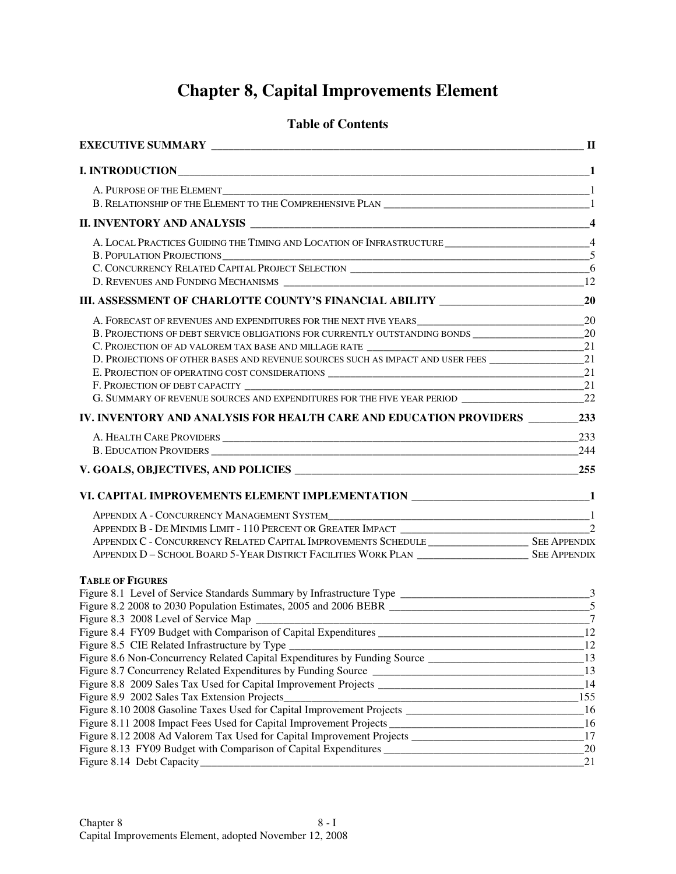# **Chapter 8, Capital Improvements Element**

#### **Table of Contents**

|                                                                                                                 | $\overline{\mathbf{4}}$ |
|-----------------------------------------------------------------------------------------------------------------|-------------------------|
| A. LOCAL PRACTICES GUIDING THE TIMING AND LOCATION OF INFRASTRUCTURE ____________________________4              |                         |
| B. POPULATION PROJECTIONS<br>C. CONCURRENCY RELATED CAPITAL PROJECT SELECTION<br>6                              |                         |
|                                                                                                                 |                         |
|                                                                                                                 |                         |
|                                                                                                                 |                         |
|                                                                                                                 |                         |
| B. PROJECTIONS OF DEBT SERVICE OBLIGATIONS FOR CURRENTLY OUTSTANDING BONDS ________________________             | 20                      |
|                                                                                                                 |                         |
| D. PROJECTIONS OF OTHER BASES AND REVENUE SOURCES SUCH AS IMPACT AND USER FEES _____________________21          |                         |
|                                                                                                                 |                         |
|                                                                                                                 |                         |
| G. SUMMARY OF REVENUE SOURCES AND EXPENDITURES FOR THE FIVE YEAR PERIOD ___________________________22           |                         |
|                                                                                                                 |                         |
|                                                                                                                 |                         |
|                                                                                                                 |                         |
|                                                                                                                 |                         |
| VI. CAPITAL IMPROVEMENTS ELEMENT IMPLEMENTATION _______________________________1                                |                         |
|                                                                                                                 |                         |
|                                                                                                                 |                         |
|                                                                                                                 |                         |
|                                                                                                                 |                         |
|                                                                                                                 |                         |
| <b>TABLE OF FIGURES</b>                                                                                         |                         |
|                                                                                                                 |                         |
| Figure 8.2 2008 to 2030 Population Estimates, 2005 and 2006 BEBR ________________________________5              |                         |
|                                                                                                                 |                         |
|                                                                                                                 |                         |
| $\frac{1}{2}$<br>Figure 8.5 CIE Related Infrastructure by Type                                                  |                         |
| Figure 8.6 Non-Concurrency Related Capital Expenditures by Funding Source ___________________________________13 |                         |
|                                                                                                                 |                         |
|                                                                                                                 |                         |
| 155                                                                                                             |                         |
| Figure 8.10 2008 Gasoline Taxes Used for Capital Improvement Projects ___________________________________16     |                         |
|                                                                                                                 |                         |
|                                                                                                                 | 17                      |
|                                                                                                                 | 20                      |
|                                                                                                                 | 21                      |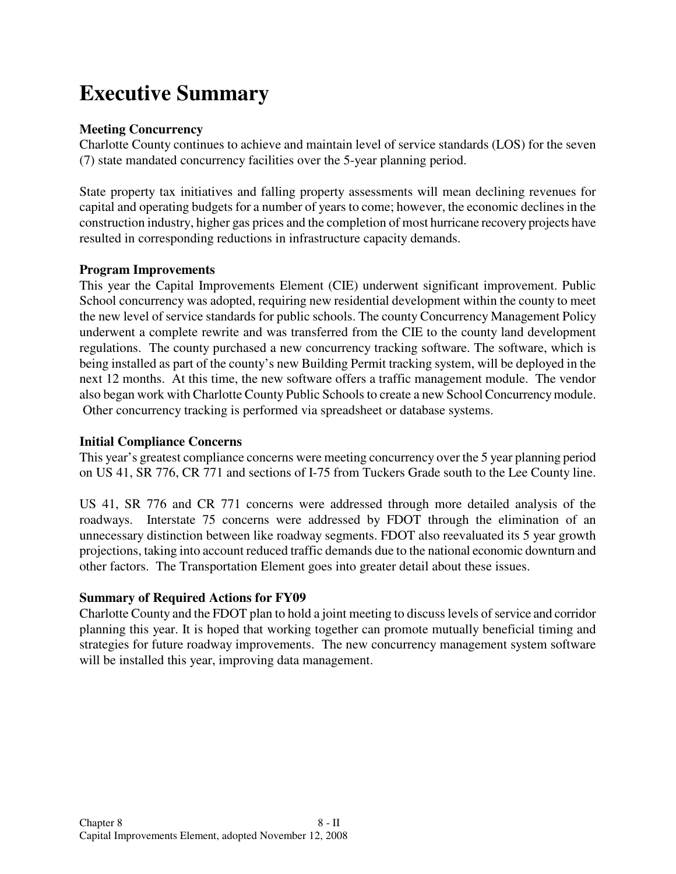# **Executive Summary**

#### **Meeting Concurrency**

Charlotte County continues to achieve and maintain level of service standards (LOS) for the seven (7) state mandated concurrency facilities over the 5-year planning period.

State property tax initiatives and falling property assessments will mean declining revenues for capital and operating budgets for a number of years to come; however, the economic declines in the construction industry, higher gas prices and the completion of most hurricane recovery projects have resulted in corresponding reductions in infrastructure capacity demands.

#### **Program Improvements**

This year the Capital Improvements Element (CIE) underwent significant improvement. Public School concurrency was adopted, requiring new residential development within the county to meet the new level of service standards for public schools. The county Concurrency Management Policy underwent a complete rewrite and was transferred from the CIE to the county land development regulations. The county purchased a new concurrency tracking software. The software, which is being installed as part of the county's new Building Permit tracking system, will be deployed in the next 12 months. At this time, the new software offers a traffic management module. The vendor also began work with Charlotte County Public Schools to create a new School Concurrency module. Other concurrency tracking is performed via spreadsheet or database systems.

#### **Initial Compliance Concerns**

This year's greatest compliance concerns were meeting concurrency over the 5 year planning period on US 41, SR 776, CR 771 and sections of I-75 from Tuckers Grade south to the Lee County line.

US 41, SR 776 and CR 771 concerns were addressed through more detailed analysis of the roadways. Interstate 75 concerns were addressed by FDOT through the elimination of an unnecessary distinction between like roadway segments. FDOT also reevaluated its 5 year growth projections, taking into account reduced traffic demands due to the national economic downturn and other factors. The Transportation Element goes into greater detail about these issues.

#### **Summary of Required Actions for FY09**

Charlotte County and the FDOT plan to hold a joint meeting to discuss levels of service and corridor planning this year. It is hoped that working together can promote mutually beneficial timing and strategies for future roadway improvements. The new concurrency management system software will be installed this year, improving data management.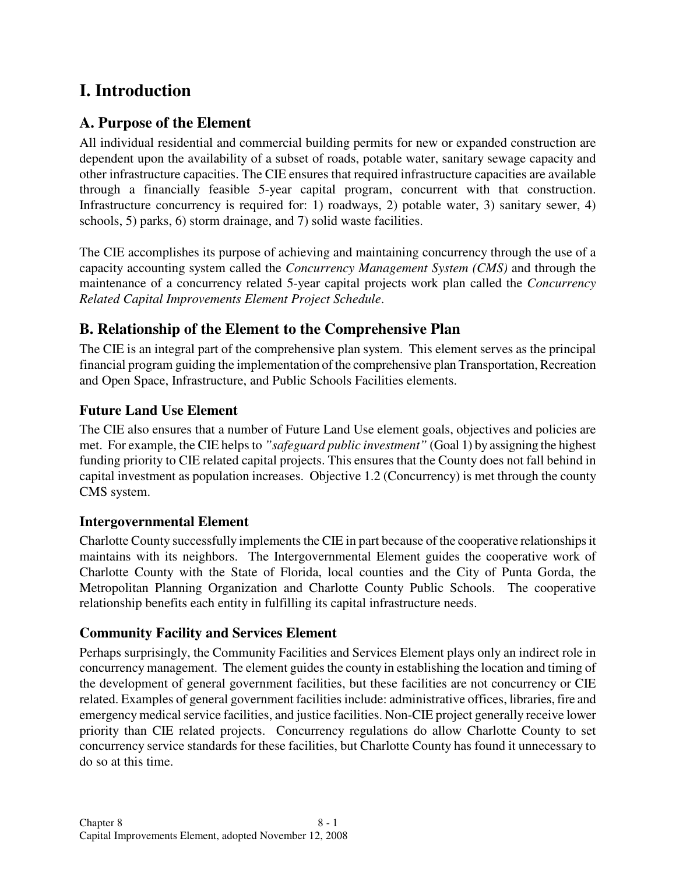## **I. Introduction**

## **A. Purpose of the Element**

All individual residential and commercial building permits for new or expanded construction are dependent upon the availability of a subset of roads, potable water, sanitary sewage capacity and other infrastructure capacities. The CIE ensures that required infrastructure capacities are available through a financially feasible 5-year capital program, concurrent with that construction. Infrastructure concurrency is required for: 1) roadways, 2) potable water, 3) sanitary sewer, 4) schools, 5) parks, 6) storm drainage, and 7) solid waste facilities.

The CIE accomplishes its purpose of achieving and maintaining concurrency through the use of a capacity accounting system called the *Concurrency Management System (CMS)* and through the maintenance of a concurrency related 5-year capital projects work plan called the *Concurrency Related Capital Improvements Element Project Schedule*.

## **B. Relationship of the Element to the Comprehensive Plan**

The CIE is an integral part of the comprehensive plan system. This element serves as the principal financial program guiding the implementation of the comprehensive plan Transportation, Recreation and Open Space, Infrastructure, and Public Schools Facilities elements.

### **Future Land Use Element**

The CIE also ensures that a number of Future Land Use element goals, objectives and policies are met. For example, the CIE helps to *"safeguard public investment"* (Goal 1) by assigning the highest funding priority to CIE related capital projects. This ensures that the County does not fall behind in capital investment as population increases. Objective 1.2 (Concurrency) is met through the county CMS system.

#### **Intergovernmental Element**

Charlotte County successfully implements the CIE in part because of the cooperative relationships it maintains with its neighbors. The Intergovernmental Element guides the cooperative work of Charlotte County with the State of Florida, local counties and the City of Punta Gorda, the Metropolitan Planning Organization and Charlotte County Public Schools. The cooperative relationship benefits each entity in fulfilling its capital infrastructure needs.

#### **Community Facility and Services Element**

Perhaps surprisingly, the Community Facilities and Services Element plays only an indirect role in concurrency management. The element guides the county in establishing the location and timing of the development of general government facilities, but these facilities are not concurrency or CIE related. Examples of general government facilities include: administrative offices, libraries, fire and emergency medical service facilities, and justice facilities. Non-CIE project generally receive lower priority than CIE related projects. Concurrency regulations do allow Charlotte County to set concurrency service standards for these facilities, but Charlotte County has found it unnecessary to do so at this time.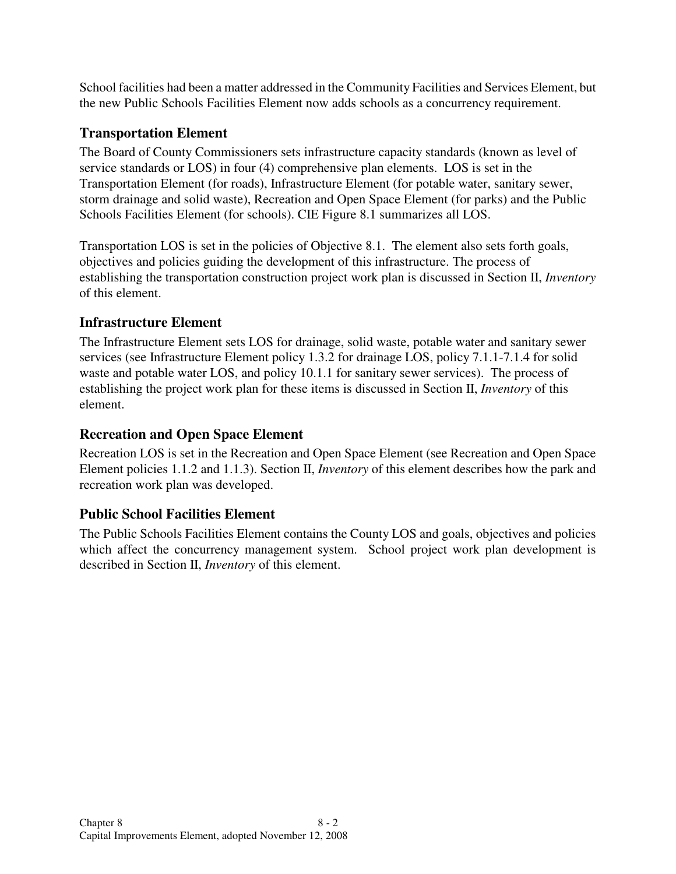School facilities had been a matter addressed in the Community Facilities and Services Element, but the new Public Schools Facilities Element now adds schools as a concurrency requirement.

## **Transportation Element**

The Board of County Commissioners sets infrastructure capacity standards (known as level of service standards or LOS) in four (4) comprehensive plan elements. LOS is set in the Transportation Element (for roads), Infrastructure Element (for potable water, sanitary sewer, storm drainage and solid waste), Recreation and Open Space Element (for parks) and the Public Schools Facilities Element (for schools). CIE Figure 8.1 summarizes all LOS.

Transportation LOS is set in the policies of Objective 8.1. The element also sets forth goals, objectives and policies guiding the development of this infrastructure. The process of establishing the transportation construction project work plan is discussed in Section II, *Inventory* of this element.

## **Infrastructure Element**

The Infrastructure Element sets LOS for drainage, solid waste, potable water and sanitary sewer services (see Infrastructure Element policy 1.3.2 for drainage LOS, policy 7.1.1-7.1.4 for solid waste and potable water LOS, and policy 10.1.1 for sanitary sewer services). The process of establishing the project work plan for these items is discussed in Section II, *Inventory* of this element.

## **Recreation and Open Space Element**

Recreation LOS is set in the Recreation and Open Space Element (see Recreation and Open Space Element policies 1.1.2 and 1.1.3). Section II, *Inventory* of this element describes how the park and recreation work plan was developed.

## **Public School Facilities Element**

The Public Schools Facilities Element contains the County LOS and goals, objectives and policies which affect the concurrency management system. School project work plan development is described in Section II, *Inventory* of this element.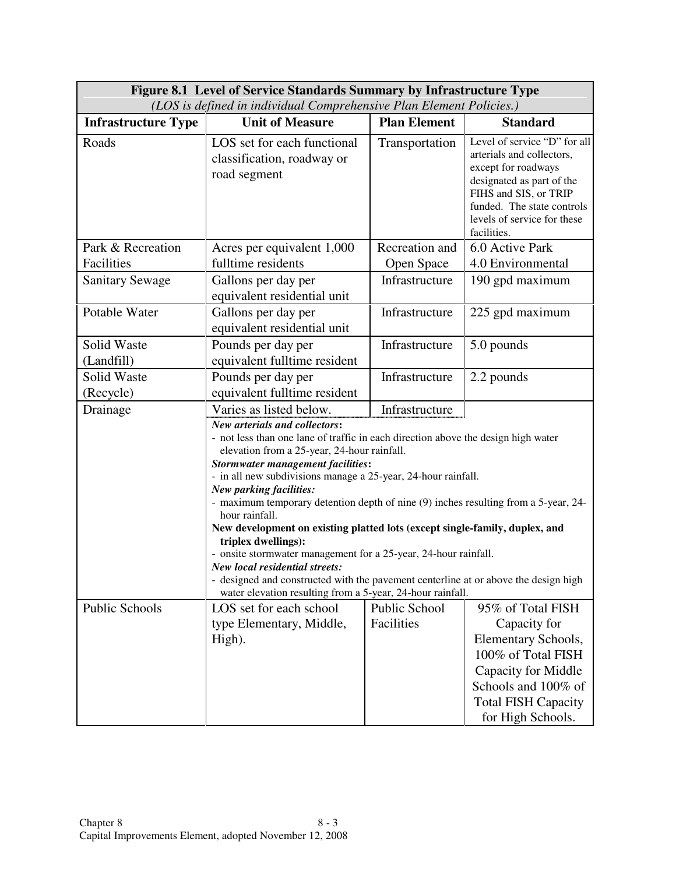| Figure 8.1 Level of Service Standards Summary by Infrastructure Type |                                                                                                                                                                                                                                                                                                                                                                                                                                                                                                                                                                                                                                                                                                                                                                                           |                                    |                                                                                                                                                                                                                    |  |  |  |
|----------------------------------------------------------------------|-------------------------------------------------------------------------------------------------------------------------------------------------------------------------------------------------------------------------------------------------------------------------------------------------------------------------------------------------------------------------------------------------------------------------------------------------------------------------------------------------------------------------------------------------------------------------------------------------------------------------------------------------------------------------------------------------------------------------------------------------------------------------------------------|------------------------------------|--------------------------------------------------------------------------------------------------------------------------------------------------------------------------------------------------------------------|--|--|--|
| (LOS is defined in individual Comprehensive Plan Element Policies.)  |                                                                                                                                                                                                                                                                                                                                                                                                                                                                                                                                                                                                                                                                                                                                                                                           |                                    |                                                                                                                                                                                                                    |  |  |  |
| <b>Infrastructure Type</b>                                           | <b>Unit of Measure</b>                                                                                                                                                                                                                                                                                                                                                                                                                                                                                                                                                                                                                                                                                                                                                                    | <b>Plan Element</b>                | <b>Standard</b>                                                                                                                                                                                                    |  |  |  |
| Roads                                                                | LOS set for each functional<br>classification, roadway or<br>road segment                                                                                                                                                                                                                                                                                                                                                                                                                                                                                                                                                                                                                                                                                                                 | Transportation                     | Level of service "D" for all<br>arterials and collectors,<br>except for roadways<br>designated as part of the<br>FIHS and SIS, or TRIP<br>funded. The state controls<br>levels of service for these<br>facilities. |  |  |  |
| Park & Recreation                                                    | Acres per equivalent 1,000                                                                                                                                                                                                                                                                                                                                                                                                                                                                                                                                                                                                                                                                                                                                                                | Recreation and                     | 6.0 Active Park                                                                                                                                                                                                    |  |  |  |
| Facilities                                                           | fulltime residents                                                                                                                                                                                                                                                                                                                                                                                                                                                                                                                                                                                                                                                                                                                                                                        | Open Space                         | 4.0 Environmental                                                                                                                                                                                                  |  |  |  |
| <b>Sanitary Sewage</b>                                               | Gallons per day per<br>equivalent residential unit                                                                                                                                                                                                                                                                                                                                                                                                                                                                                                                                                                                                                                                                                                                                        | Infrastructure                     | 190 gpd maximum                                                                                                                                                                                                    |  |  |  |
| Potable Water                                                        | Gallons per day per<br>equivalent residential unit                                                                                                                                                                                                                                                                                                                                                                                                                                                                                                                                                                                                                                                                                                                                        | Infrastructure                     | 225 gpd maximum                                                                                                                                                                                                    |  |  |  |
| Solid Waste                                                          | Pounds per day per                                                                                                                                                                                                                                                                                                                                                                                                                                                                                                                                                                                                                                                                                                                                                                        | Infrastructure                     | 5.0 pounds                                                                                                                                                                                                         |  |  |  |
| (Landfill)                                                           | equivalent fulltime resident                                                                                                                                                                                                                                                                                                                                                                                                                                                                                                                                                                                                                                                                                                                                                              |                                    |                                                                                                                                                                                                                    |  |  |  |
| Solid Waste                                                          | Pounds per day per                                                                                                                                                                                                                                                                                                                                                                                                                                                                                                                                                                                                                                                                                                                                                                        | Infrastructure                     | 2.2 pounds                                                                                                                                                                                                         |  |  |  |
| (Recycle)                                                            | equivalent fulltime resident                                                                                                                                                                                                                                                                                                                                                                                                                                                                                                                                                                                                                                                                                                                                                              |                                    |                                                                                                                                                                                                                    |  |  |  |
| Drainage                                                             | Varies as listed below.                                                                                                                                                                                                                                                                                                                                                                                                                                                                                                                                                                                                                                                                                                                                                                   | Infrastructure                     |                                                                                                                                                                                                                    |  |  |  |
|                                                                      | New arterials and collectors:<br>- not less than one lane of traffic in each direction above the design high water<br>elevation from a 25-year, 24-hour rainfall.<br><b>Stormwater management facilities:</b><br>- in all new subdivisions manage a 25-year, 24-hour rainfall.<br>New parking facilities:<br>- maximum temporary detention depth of nine (9) inches resulting from a 5-year, 24-<br>hour rainfall.<br>New development on existing platted lots (except single-family, duplex, and<br>triplex dwellings):<br>- onsite stormwater management for a 25-year, 24-hour rainfall.<br><b>New local residential streets:</b><br>- designed and constructed with the pavement centerline at or above the design high<br>water elevation resulting from a 5-year, 24-hour rainfall. |                                    |                                                                                                                                                                                                                    |  |  |  |
| <b>Public Schools</b>                                                | LOS set for each school<br>type Elementary, Middle,<br>High).                                                                                                                                                                                                                                                                                                                                                                                                                                                                                                                                                                                                                                                                                                                             | <b>Public School</b><br>Facilities | 95% of Total FISH<br>Capacity for<br><b>Elementary Schools,</b><br>100% of Total FISH<br>Capacity for Middle<br>Schools and 100% of<br><b>Total FISH Capacity</b><br>for High Schools.                             |  |  |  |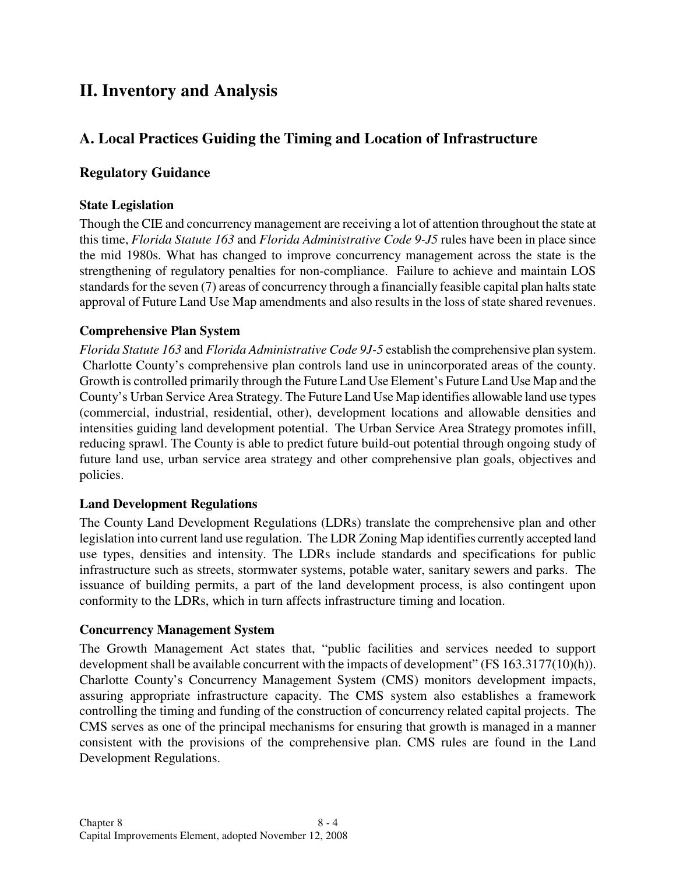## **II. Inventory and Analysis**

## **A. Local Practices Guiding the Timing and Location of Infrastructure**

#### **Regulatory Guidance**

#### **State Legislation**

Though the CIE and concurrency management are receiving a lot of attention throughout the state at this time, *Florida Statute 163* and *Florida Administrative Code 9-J5* rules have been in place since the mid 1980s. What has changed to improve concurrency management across the state is the strengthening of regulatory penalties for non-compliance. Failure to achieve and maintain LOS standards for the seven (7) areas of concurrency through a financially feasible capital plan halts state approval of Future Land Use Map amendments and also results in the loss of state shared revenues.

#### **Comprehensive Plan System**

*Florida Statute 163* and *Florida Administrative Code 9J-5* establish the comprehensive plan system. Charlotte County's comprehensive plan controls land use in unincorporated areas of the county. Growth is controlled primarily through the Future Land Use Element's Future Land Use Map and the County's Urban Service Area Strategy. The Future Land Use Map identifies allowable land use types (commercial, industrial, residential, other), development locations and allowable densities and intensities guiding land development potential. The Urban Service Area Strategy promotes infill, reducing sprawl. The County is able to predict future build-out potential through ongoing study of future land use, urban service area strategy and other comprehensive plan goals, objectives and policies.

#### **Land Development Regulations**

The County Land Development Regulations (LDRs) translate the comprehensive plan and other legislation into current land use regulation. The LDR Zoning Map identifies currently accepted land use types, densities and intensity. The LDRs include standards and specifications for public infrastructure such as streets, stormwater systems, potable water, sanitary sewers and parks. The issuance of building permits, a part of the land development process, is also contingent upon conformity to the LDRs, which in turn affects infrastructure timing and location.

#### **Concurrency Management System**

The Growth Management Act states that, "public facilities and services needed to support development shall be available concurrent with the impacts of development" (FS 163.3177(10)(h)). Charlotte County's Concurrency Management System (CMS) monitors development impacts, assuring appropriate infrastructure capacity. The CMS system also establishes a framework controlling the timing and funding of the construction of concurrency related capital projects. The CMS serves as one of the principal mechanisms for ensuring that growth is managed in a manner consistent with the provisions of the comprehensive plan. CMS rules are found in the Land Development Regulations.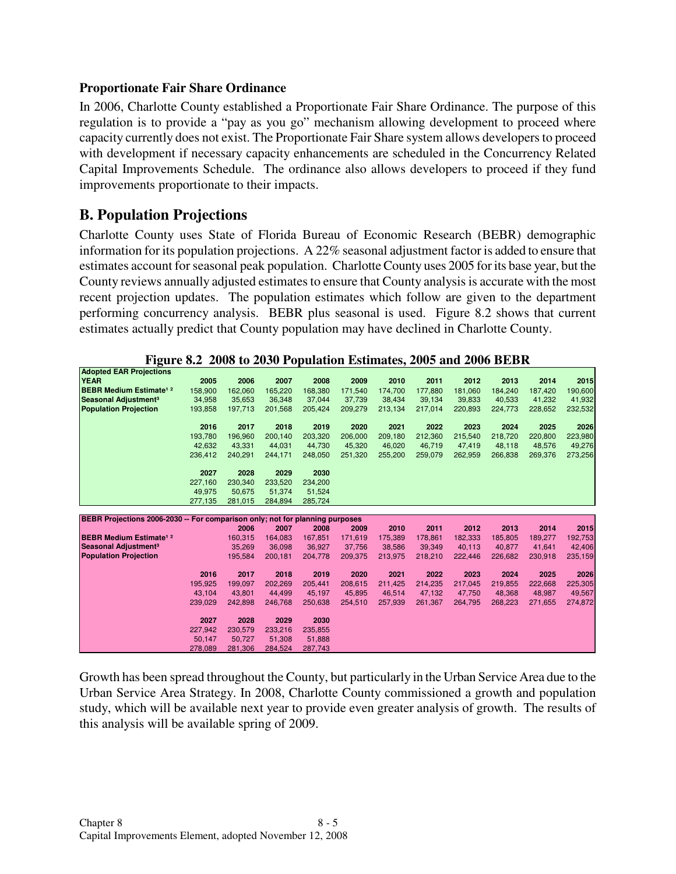#### **Proportionate Fair Share Ordinance**

In 2006, Charlotte County established a Proportionate Fair Share Ordinance. The purpose of this regulation is to provide a "pay as you go" mechanism allowing development to proceed where capacity currently does not exist. The Proportionate Fair Share system allows developers to proceed with development if necessary capacity enhancements are scheduled in the Concurrency Related Capital Improvements Schedule. The ordinance also allows developers to proceed if they fund improvements proportionate to their impacts.

### **B. Population Projections**

Charlotte County uses State of Florida Bureau of Economic Research (BEBR) demographic information for its population projections. A 22% seasonal adjustment factor is added to ensure that estimates account for seasonal peak population. Charlotte County uses 2005 for its base year, but the County reviews annually adjusted estimates to ensure that County analysis is accurate with the most recent projection updates. The population estimates which follow are given to the department performing concurrency analysis. BEBR plus seasonal is used. Figure 8.2 shows that current estimates actually predict that County population may have declined in Charlotte County.

**Figure 8.2 2008 to 2030 Population Estimates, 2005 and 2006 BEBR** 

| <b>Adopted EAR Projections</b>                                               |                   |                   |                   |                   |         |         |         |         |         |         |         |
|------------------------------------------------------------------------------|-------------------|-------------------|-------------------|-------------------|---------|---------|---------|---------|---------|---------|---------|
| <b>YEAR</b>                                                                  | 2005              | 2006              | 2007              | 2008              | 2009    | 2010    | 2011    | 2012    | 2013    | 2014    | 2015    |
| <b>BEBR Medium Estimate<sup>1</sup></b>                                      | 158,900           | 162,060           | 165,220           | 168,380           | 171,540 | 174,700 | 177,880 | 181,060 | 184,240 | 187,420 | 190,600 |
| Seasonal Adjustment <sup>3</sup>                                             | 34,958            | 35,653            | 36,348            | 37,044            | 37,739  | 38,434  | 39,134  | 39,833  | 40,533  | 41,232  | 41,932  |
| <b>Population Projection</b>                                                 | 193,858           | 197,713           | 201,568           | 205,424           | 209,279 | 213,134 | 217,014 | 220,893 | 224,773 | 228,652 | 232,532 |
|                                                                              |                   |                   |                   |                   |         |         |         |         |         |         |         |
|                                                                              | 2016              | 2017              | 2018              | 2019              | 2020    | 2021    | 2022    | 2023    | 2024    | 2025    | 2026    |
|                                                                              | 193,780           | 196,960           | 200,140           | 203,320           | 206,000 | 209,180 | 212,360 | 215,540 | 218,720 | 220,800 | 223,980 |
|                                                                              | 42,632            | 43,331            | 44,031            | 44,730            | 45,320  | 46,020  | 46,719  | 47,419  | 48,118  | 48,576  | 49,276  |
|                                                                              | 236,412           | 240,291           | 244,171           | 248,050           | 251,320 | 255,200 | 259,079 | 262,959 | 266,838 | 269,376 | 273,256 |
|                                                                              | 2027              | 2028              | 2029              | 2030              |         |         |         |         |         |         |         |
|                                                                              | 227.160           | 230.340           | 233.520           | 234.200           |         |         |         |         |         |         |         |
|                                                                              |                   |                   |                   |                   |         |         |         |         |         |         |         |
|                                                                              | 49,975            | 50,675            | 51,374            | 51,524            |         |         |         |         |         |         |         |
|                                                                              | 277,135           | 281,015           | 284,894           | 285,724           |         |         |         |         |         |         |         |
|                                                                              |                   |                   |                   |                   |         |         |         |         |         |         |         |
| BEBR Projections 2006-2030 -- For comparison only; not for planning purposes |                   |                   |                   |                   |         |         |         |         |         |         |         |
|                                                                              |                   | 2006              | 2007              | 2008              | 2009    | 2010    | 2011    | 2012    | 2013    | 2014    | 2015    |
| <b>BEBR Medium Estimate<sup>1</sup></b>                                      |                   | 160,315           | 164.083           | 167,851           | 171,619 | 175,389 | 178,861 | 182.333 | 185.805 | 189.277 | 192,753 |
| Seasonal Adjustment <sup>3</sup>                                             |                   | 35,269            | 36,098            | 36,927            | 37,756  | 38,586  | 39,349  | 40.113  | 40.877  | 41,641  | 42,406  |
| <b>Population Projection</b>                                                 |                   | 195,584           | 200,181           | 204,778           | 209,375 | 213,975 | 218,210 | 222,446 | 226,682 | 230,918 | 235,159 |
|                                                                              |                   |                   |                   |                   |         |         |         |         |         |         |         |
|                                                                              | 2016              | 2017              | 2018              | 2019              | 2020    | 2021    | 2022    | 2023    | 2024    | 2025    | 2026    |
|                                                                              | 195,925           | 199,097           | 202,269           | 205,441           | 208,615 | 211,425 | 214,235 | 217,045 | 219,855 | 222,668 | 225,305 |
|                                                                              | 43,104            | 43,801            | 44,499            | 45,197            | 45,895  | 46,514  | 47,132  | 47,750  | 48,368  | 48,987  | 49,567  |
|                                                                              | 239,029           | 242,898           | 246,768           | 250,638           | 254,510 | 257,939 | 261,367 | 264,795 | 268,223 | 271,655 | 274,872 |
|                                                                              |                   |                   |                   |                   |         |         |         |         |         |         |         |
|                                                                              | 2027              | 2028              | 2029              | 2030              |         |         |         |         |         |         |         |
|                                                                              | 227,942           | 230,579           | 233,216           | 235,855           |         |         |         |         |         |         |         |
|                                                                              | 50,147<br>278,089 | 50,727<br>281,306 | 51,308<br>284,524 | 51,888<br>287,743 |         |         |         |         |         |         |         |

Growth has been spread throughout the County, but particularly in the Urban Service Area due to the Urban Service Area Strategy. In 2008, Charlotte County commissioned a growth and population study, which will be available next year to provide even greater analysis of growth. The results of this analysis will be available spring of 2009.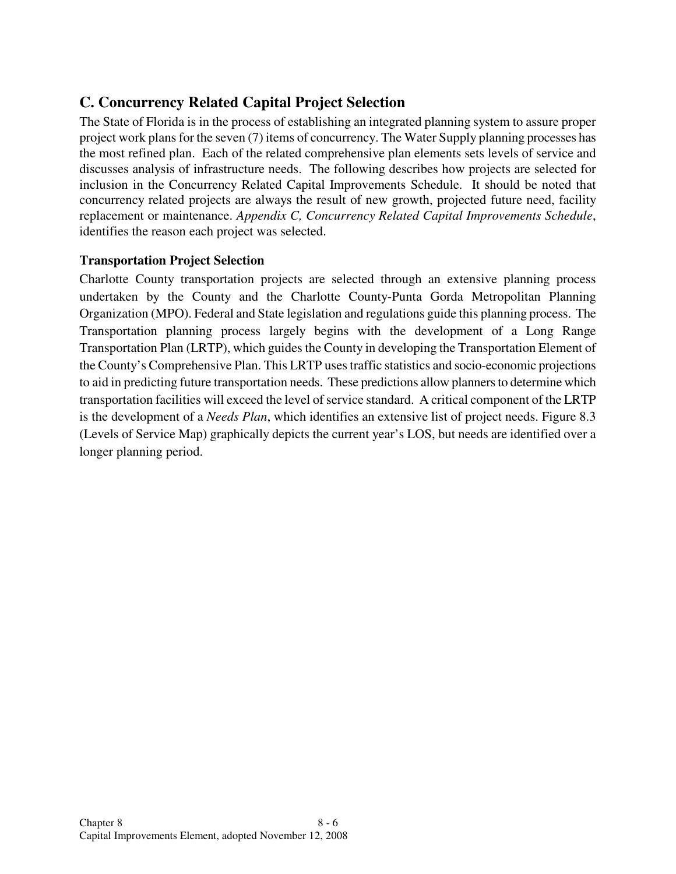## **C. Concurrency Related Capital Project Selection**

The State of Florida is in the process of establishing an integrated planning system to assure proper project work plans for the seven (7) items of concurrency. The Water Supply planning processes has the most refined plan. Each of the related comprehensive plan elements sets levels of service and discusses analysis of infrastructure needs. The following describes how projects are selected for inclusion in the Concurrency Related Capital Improvements Schedule. It should be noted that concurrency related projects are always the result of new growth, projected future need, facility replacement or maintenance. *Appendix C, Concurrency Related Capital Improvements Schedule*, identifies the reason each project was selected.

#### **Transportation Project Selection**

Charlotte County transportation projects are selected through an extensive planning process undertaken by the County and the Charlotte County-Punta Gorda Metropolitan Planning Organization (MPO). Federal and State legislation and regulations guide this planning process. The Transportation planning process largely begins with the development of a Long Range Transportation Plan (LRTP), which guides the County in developing the Transportation Element of the County's Comprehensive Plan. This LRTP uses traffic statistics and socio-economic projections to aid in predicting future transportation needs. These predictions allow planners to determine which transportation facilities will exceed the level of service standard. A critical component of the LRTP is the development of a *Needs Plan*, which identifies an extensive list of project needs. Figure 8.3 (Levels of Service Map) graphically depicts the current year's LOS, but needs are identified over a longer planning period.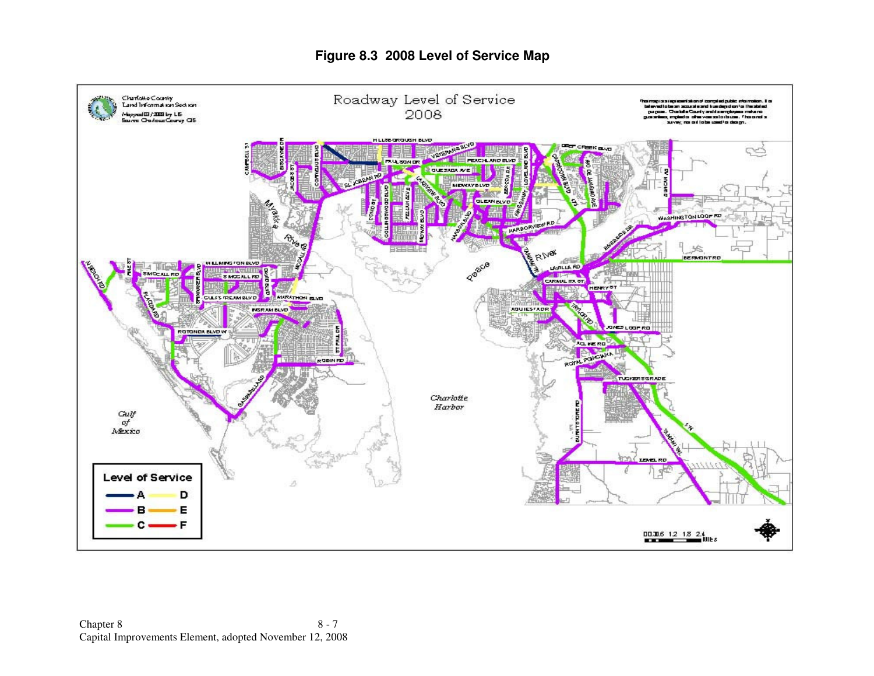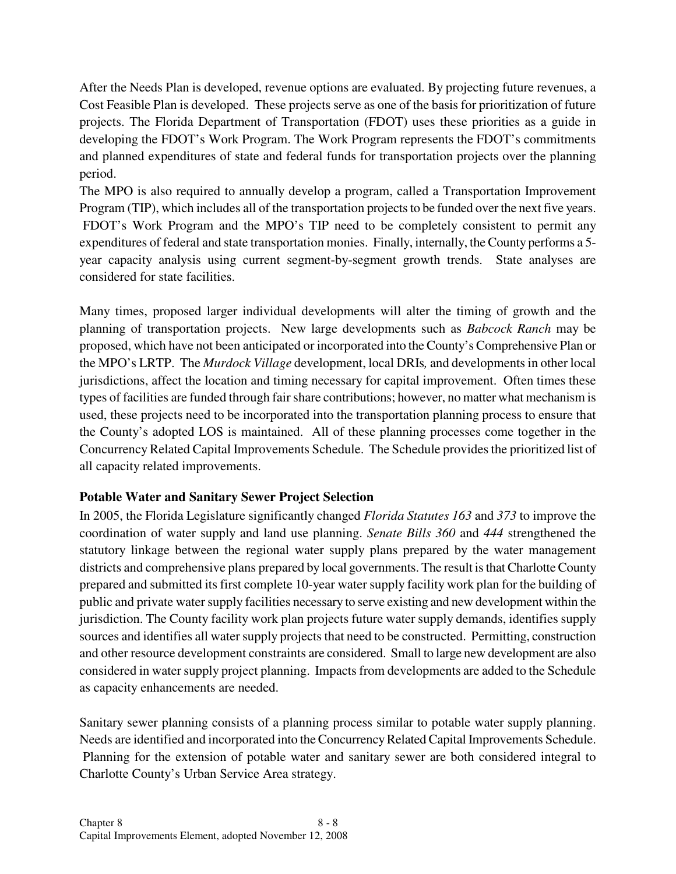After the Needs Plan is developed, revenue options are evaluated. By projecting future revenues, a Cost Feasible Plan is developed. These projects serve as one of the basis for prioritization of future projects. The Florida Department of Transportation (FDOT) uses these priorities as a guide in developing the FDOT's Work Program. The Work Program represents the FDOT's commitments and planned expenditures of state and federal funds for transportation projects over the planning period.

The MPO is also required to annually develop a program, called a Transportation Improvement Program (TIP), which includes all of the transportation projects to be funded over the next five years. FDOT's Work Program and the MPO's TIP need to be completely consistent to permit any expenditures of federal and state transportation monies. Finally, internally, the County performs a 5 year capacity analysis using current segment-by-segment growth trends. State analyses are considered for state facilities.

Many times, proposed larger individual developments will alter the timing of growth and the planning of transportation projects. New large developments such as *Babcock Ranch* may be proposed, which have not been anticipated or incorporated into the County's Comprehensive Plan or the MPO's LRTP. The *Murdock Village* development, local DRIs*,* and developments in other local jurisdictions, affect the location and timing necessary for capital improvement. Often times these types of facilities are funded through fair share contributions; however, no matter what mechanism is used, these projects need to be incorporated into the transportation planning process to ensure that the County's adopted LOS is maintained. All of these planning processes come together in the Concurrency Related Capital Improvements Schedule. The Schedule provides the prioritized list of all capacity related improvements.

#### **Potable Water and Sanitary Sewer Project Selection**

In 2005, the Florida Legislature significantly changed *Florida Statutes 163* and *373* to improve the coordination of water supply and land use planning. *Senate Bills 360* and *444* strengthened the statutory linkage between the regional water supply plans prepared by the water management districts and comprehensive plans prepared by local governments. The result is that Charlotte County prepared and submitted its first complete 10-year water supply facility work plan for the building of public and private water supply facilities necessary to serve existing and new development within the jurisdiction. The County facility work plan projects future water supply demands, identifies supply sources and identifies all water supply projects that need to be constructed. Permitting, construction and other resource development constraints are considered. Small to large new development are also considered in water supply project planning. Impacts from developments are added to the Schedule as capacity enhancements are needed.

Sanitary sewer planning consists of a planning process similar to potable water supply planning. Needs are identified and incorporated into the Concurrency Related Capital Improvements Schedule. Planning for the extension of potable water and sanitary sewer are both considered integral to Charlotte County's Urban Service Area strategy.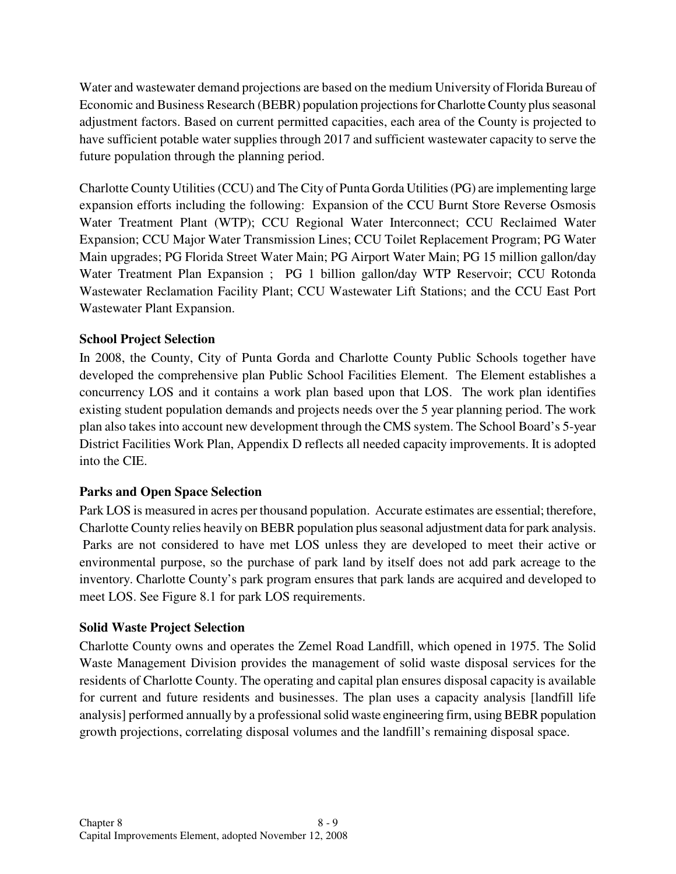Water and wastewater demand projections are based on the medium University of Florida Bureau of Economic and Business Research (BEBR) population projections for Charlotte County plus seasonal adjustment factors. Based on current permitted capacities, each area of the County is projected to have sufficient potable water supplies through 2017 and sufficient wastewater capacity to serve the future population through the planning period.

Charlotte County Utilities (CCU) and The City of Punta Gorda Utilities (PG) are implementing large expansion efforts including the following: Expansion of the CCU Burnt Store Reverse Osmosis Water Treatment Plant (WTP); CCU Regional Water Interconnect; CCU Reclaimed Water Expansion; CCU Major Water Transmission Lines; CCU Toilet Replacement Program; PG Water Main upgrades; PG Florida Street Water Main; PG Airport Water Main; PG 15 million gallon/day Water Treatment Plan Expansion ; PG 1 billion gallon/day WTP Reservoir; CCU Rotonda Wastewater Reclamation Facility Plant; CCU Wastewater Lift Stations; and the CCU East Port Wastewater Plant Expansion.

#### **School Project Selection**

In 2008, the County, City of Punta Gorda and Charlotte County Public Schools together have developed the comprehensive plan Public School Facilities Element. The Element establishes a concurrency LOS and it contains a work plan based upon that LOS. The work plan identifies existing student population demands and projects needs over the 5 year planning period. The work plan also takes into account new development through the CMS system. The School Board's 5-year District Facilities Work Plan, Appendix D reflects all needed capacity improvements. It is adopted into the CIE.

#### **Parks and Open Space Selection**

Park LOS is measured in acres per thousand population. Accurate estimates are essential; therefore, Charlotte County relies heavily on BEBR population plus seasonal adjustment data for park analysis. Parks are not considered to have met LOS unless they are developed to meet their active or environmental purpose, so the purchase of park land by itself does not add park acreage to the inventory. Charlotte County's park program ensures that park lands are acquired and developed to meet LOS. See Figure 8.1 for park LOS requirements.

#### **Solid Waste Project Selection**

Charlotte County owns and operates the Zemel Road Landfill, which opened in 1975. The Solid Waste Management Division provides the management of solid waste disposal services for the residents of Charlotte County. The operating and capital plan ensures disposal capacity is available for current and future residents and businesses. The plan uses a capacity analysis [landfill life analysis] performed annually by a professional solid waste engineering firm, using BEBR population growth projections, correlating disposal volumes and the landfill's remaining disposal space.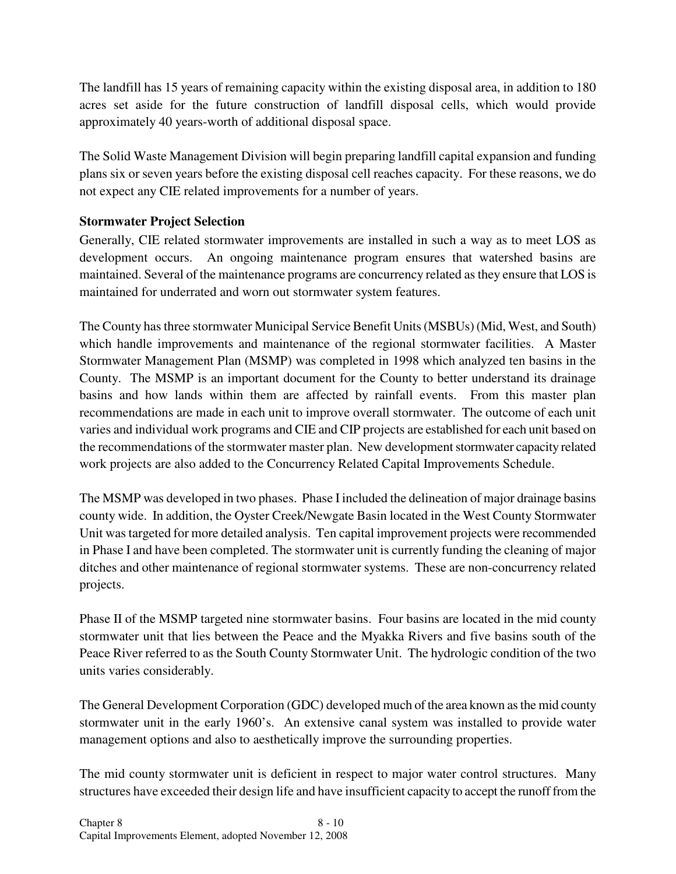The landfill has 15 years of remaining capacity within the existing disposal area, in addition to 180 acres set aside for the future construction of landfill disposal cells, which would provide approximately 40 years-worth of additional disposal space.

The Solid Waste Management Division will begin preparing landfill capital expansion and funding plans six or seven years before the existing disposal cell reaches capacity. For these reasons, we do not expect any CIE related improvements for a number of years.

#### **Stormwater Project Selection**

Generally, CIE related stormwater improvements are installed in such a way as to meet LOS as development occurs. An ongoing maintenance program ensures that watershed basins are maintained. Several of the maintenance programs are concurrency related as they ensure that LOS is maintained for underrated and worn out stormwater system features.

The County has three stormwater Municipal Service Benefit Units (MSBUs) (Mid, West, and South) which handle improvements and maintenance of the regional stormwater facilities. A Master Stormwater Management Plan (MSMP) was completed in 1998 which analyzed ten basins in the County. The MSMP is an important document for the County to better understand its drainage basins and how lands within them are affected by rainfall events. From this master plan recommendations are made in each unit to improve overall stormwater. The outcome of each unit varies and individual work programs and CIE and CIP projects are established for each unit based on the recommendations of the stormwater master plan. New development stormwater capacity related work projects are also added to the Concurrency Related Capital Improvements Schedule.

The MSMP was developed in two phases. Phase I included the delineation of major drainage basins county wide. In addition, the Oyster Creek/Newgate Basin located in the West County Stormwater Unit was targeted for more detailed analysis. Ten capital improvement projects were recommended in Phase I and have been completed. The stormwater unit is currently funding the cleaning of major ditches and other maintenance of regional stormwater systems. These are non-concurrency related projects.

Phase II of the MSMP targeted nine stormwater basins. Four basins are located in the mid county stormwater unit that lies between the Peace and the Myakka Rivers and five basins south of the Peace River referred to as the South County Stormwater Unit. The hydrologic condition of the two units varies considerably.

The General Development Corporation (GDC) developed much of the area known as the mid county stormwater unit in the early 1960's. An extensive canal system was installed to provide water management options and also to aesthetically improve the surrounding properties.

The mid county stormwater unit is deficient in respect to major water control structures. Many structures have exceeded their design life and have insufficient capacity to accept the runoff from the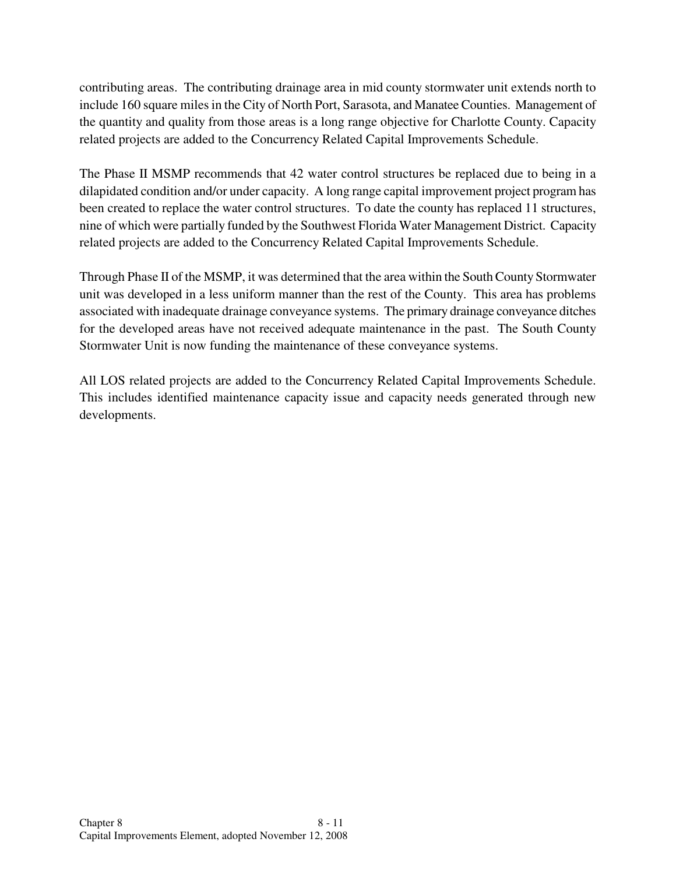contributing areas. The contributing drainage area in mid county stormwater unit extends north to include 160 square miles in the City of North Port, Sarasota, and Manatee Counties. Management of the quantity and quality from those areas is a long range objective for Charlotte County. Capacity related projects are added to the Concurrency Related Capital Improvements Schedule.

The Phase II MSMP recommends that 42 water control structures be replaced due to being in a dilapidated condition and/or under capacity. A long range capital improvement project program has been created to replace the water control structures. To date the county has replaced 11 structures, nine of which were partially funded by the Southwest Florida Water Management District. Capacity related projects are added to the Concurrency Related Capital Improvements Schedule.

Through Phase II of the MSMP, it was determined that the area within the South County Stormwater unit was developed in a less uniform manner than the rest of the County. This area has problems associated with inadequate drainage conveyance systems. The primary drainage conveyance ditches for the developed areas have not received adequate maintenance in the past. The South County Stormwater Unit is now funding the maintenance of these conveyance systems.

All LOS related projects are added to the Concurrency Related Capital Improvements Schedule. This includes identified maintenance capacity issue and capacity needs generated through new developments.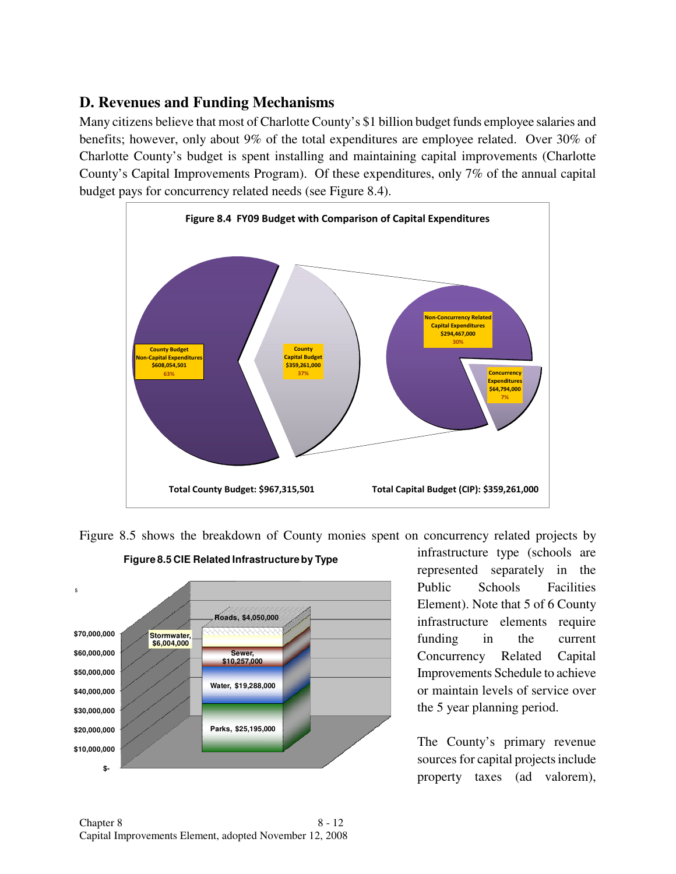## **D. Revenues and Funding Mechanisms**

Many citizens believe that most of Charlotte County's \$1 billion budget funds employee salaries and benefits; however, only about 9% of the total expenditures are employee related. Over 30% of Charlotte County's budget is spent installing and maintaining capital improvements (Charlotte County's Capital Improvements Program). Of these expenditures, only 7% of the annual capital budget pays for concurrency related needs (see Figure 8.4).



Figure 8.5 shows the breakdown of County monies spent on concurrency related projects by



**Figure 8.5 CIE Related Infrastructure by Type**

infrastructure type (schools are represented separately in the Public Schools Facilities Element). Note that 5 of 6 County infrastructure elements require funding in the current Concurrency Related Capital Improvements Schedule to achieve or maintain levels of service over the 5 year planning period.

The County's primary revenue sources for capital projects include property taxes (ad valorem),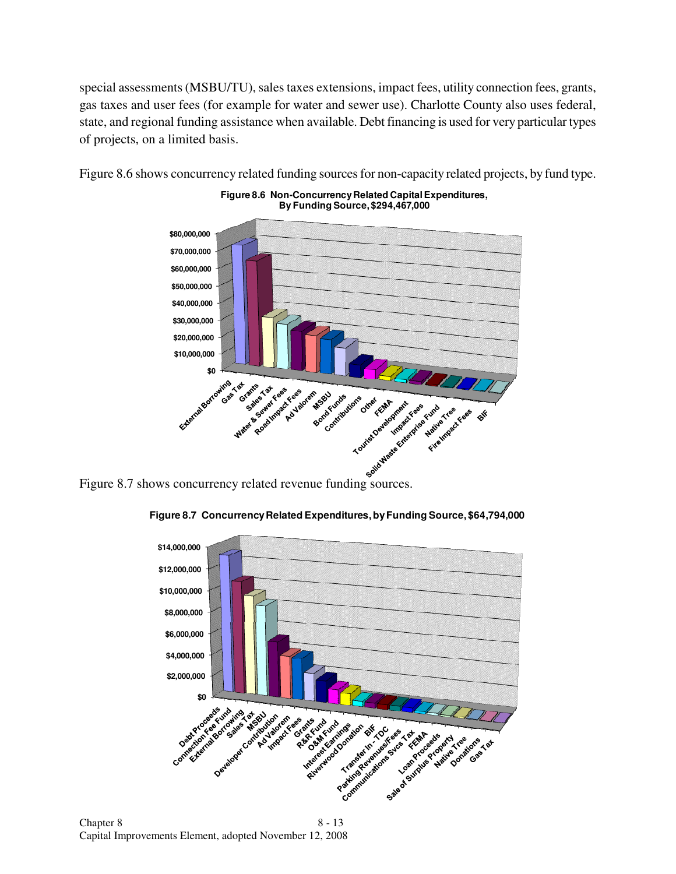special assessments (MSBU/TU), sales taxes extensions, impact fees, utility connection fees, grants, gas taxes and user fees (for example for water and sewer use). Charlotte County also uses federal, state, and regional funding assistance when available. Debt financing is used for very particular types of projects, on a limited basis.



Figure 8.6 shows concurrency related funding sources for non-capacity related projects, by fund type.

**Figure 8.6 Non-Concurrency Related Capital Expenditures,**

**Figure 8.7 Concurrency Related Expenditures, by Funding Source, \$64,794,000**

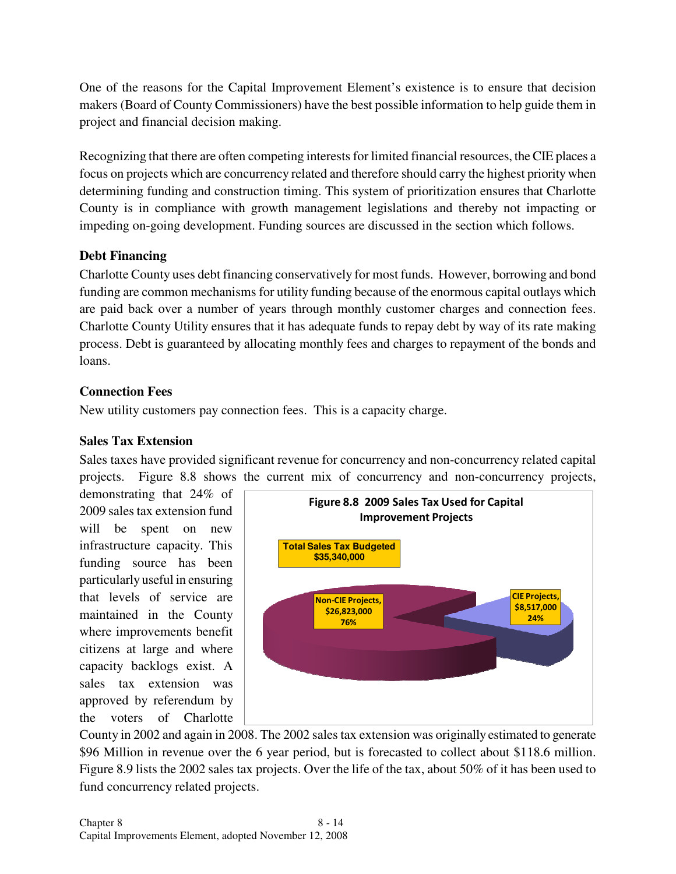One of the reasons for the Capital Improvement Element's existence is to ensure that decision makers (Board of County Commissioners) have the best possible information to help guide them in project and financial decision making.

Recognizing that there are often competing interests for limited financial resources, the CIE places a focus on projects which are concurrency related and therefore should carry the highest priority when determining funding and construction timing. This system of prioritization ensures that Charlotte County is in compliance with growth management legislations and thereby not impacting or impeding on-going development. Funding sources are discussed in the section which follows.

#### **Debt Financing**

Charlotte County uses debt financing conservatively for most funds. However, borrowing and bond funding are common mechanisms for utility funding because of the enormous capital outlays which are paid back over a number of years through monthly customer charges and connection fees. Charlotte County Utility ensures that it has adequate funds to repay debt by way of its rate making process. Debt is guaranteed by allocating monthly fees and charges to repayment of the bonds and loans.

#### **Connection Fees**

New utility customers pay connection fees. This is a capacity charge.

#### **Sales Tax Extension**

Sales taxes have provided significant revenue for concurrency and non-concurrency related capital projects. Figure 8.8 shows the current mix of concurrency and non-concurrency projects,

demonstrating that 24% of 2009 sales tax extension fund will be spent on new infrastructure capacity. This funding source has been particularly useful in ensuring that levels of service are maintained in the County where improvements benefit citizens at large and where capacity backlogs exist. A sales tax extension was approved by referendum by the voters of Charlotte



County in 2002 and again in 2008. The 2002 sales tax extension was originally estimated to generate \$96 Million in revenue over the 6 year period, but is forecasted to collect about \$118.6 million. Figure 8.9 lists the 2002 sales tax projects. Over the life of the tax, about 50% of it has been used to fund concurrency related projects.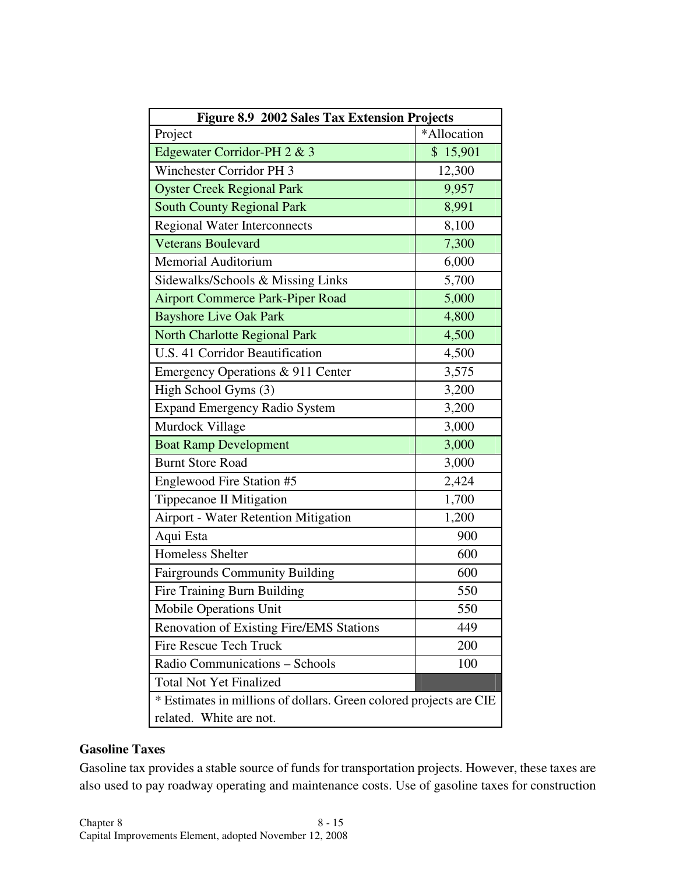| Figure 8.9 2002 Sales Tax Extension Projects                       |             |  |  |  |
|--------------------------------------------------------------------|-------------|--|--|--|
| Project                                                            | *Allocation |  |  |  |
| Edgewater Corridor-PH 2 & 3                                        | \$15,901    |  |  |  |
| <b>Winchester Corridor PH 3</b>                                    | 12,300      |  |  |  |
| <b>Oyster Creek Regional Park</b>                                  | 9,957       |  |  |  |
| <b>South County Regional Park</b>                                  | 8,991       |  |  |  |
| <b>Regional Water Interconnects</b>                                | 8,100       |  |  |  |
| <b>Veterans Boulevard</b>                                          | 7,300       |  |  |  |
| Memorial Auditorium                                                | 6,000       |  |  |  |
| Sidewalks/Schools & Missing Links                                  | 5,700       |  |  |  |
| <b>Airport Commerce Park-Piper Road</b>                            | 5,000       |  |  |  |
| <b>Bayshore Live Oak Park</b>                                      | 4,800       |  |  |  |
| <b>North Charlotte Regional Park</b>                               | 4,500       |  |  |  |
| U.S. 41 Corridor Beautification                                    | 4,500       |  |  |  |
| Emergency Operations & 911 Center                                  | 3,575       |  |  |  |
| High School Gyms (3)                                               | 3,200       |  |  |  |
| <b>Expand Emergency Radio System</b>                               | 3,200       |  |  |  |
| Murdock Village                                                    | 3,000       |  |  |  |
| <b>Boat Ramp Development</b>                                       | 3,000       |  |  |  |
| <b>Burnt Store Road</b>                                            | 3,000       |  |  |  |
| Englewood Fire Station #5                                          | 2,424       |  |  |  |
| Tippecanoe II Mitigation                                           | 1,700       |  |  |  |
| Airport - Water Retention Mitigation                               | 1,200       |  |  |  |
| Aqui Esta                                                          | 900         |  |  |  |
| Homeless Shelter                                                   | 600         |  |  |  |
| <b>Fairgrounds Community Building</b>                              | 600         |  |  |  |
| Fire Training Burn Building                                        | 550         |  |  |  |
| <b>Mobile Operations Unit</b>                                      | 550         |  |  |  |
| Renovation of Existing Fire/EMS Stations                           | 449         |  |  |  |
| <b>Fire Rescue Tech Truck</b>                                      | 200         |  |  |  |
| Radio Communications - Schools                                     | 100         |  |  |  |
| <b>Total Not Yet Finalized</b>                                     |             |  |  |  |
| * Estimates in millions of dollars. Green colored projects are CIE |             |  |  |  |
| related. White are not.                                            |             |  |  |  |

#### **Gasoline Taxes**

Gasoline tax provides a stable source of funds for transportation projects. However, these taxes are also used to pay roadway operating and maintenance costs. Use of gasoline taxes for construction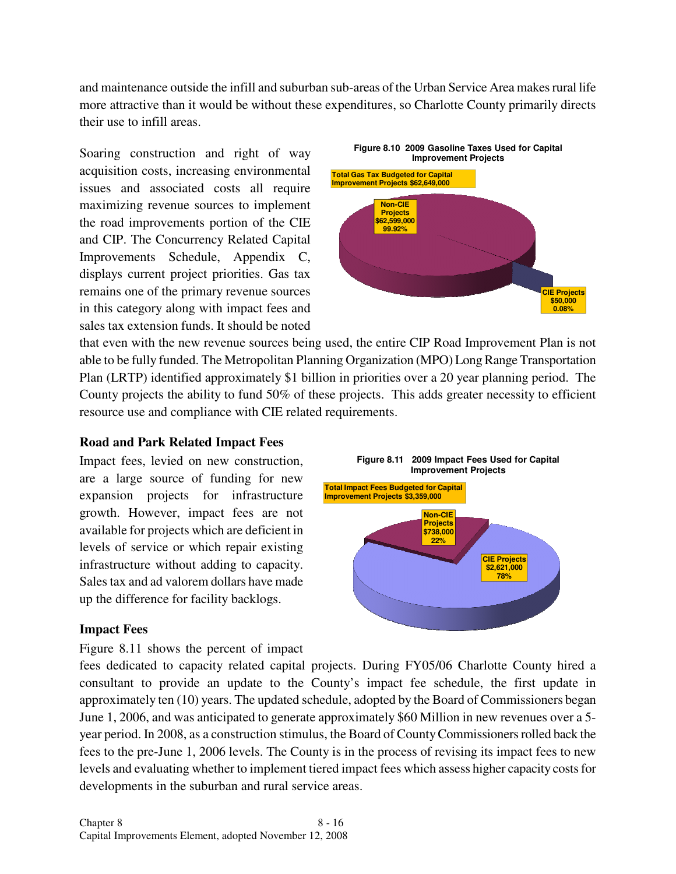and maintenance outside the infill and suburban sub-areas of the Urban Service Area makes rural life more attractive than it would be without these expenditures, so Charlotte County primarily directs their use to infill areas.

Soaring construction and right of way acquisition costs, increasing environmental issues and associated costs all require maximizing revenue sources to implement the road improvements portion of the CIE and CIP. The Concurrency Related Capital Improvements Schedule, Appendix C, displays current project priorities. Gas tax remains one of the primary revenue sources in this category along with impact fees and sales tax extension funds. It should be noted



that even with the new revenue sources being used, the entire CIP Road Improvement Plan is not able to be fully funded. The Metropolitan Planning Organization (MPO) Long Range Transportation Plan (LRTP) identified approximately \$1 billion in priorities over a 20 year planning period. The County projects the ability to fund 50% of these projects. This adds greater necessity to efficient resource use and compliance with CIE related requirements.

#### **Road and Park Related Impact Fees**

Impact fees, levied on new construction, are a large source of funding for new expansion projects for infrastructure growth. However, impact fees are not available for projects which are deficient in levels of service or which repair existing infrastructure without adding to capacity. Sales tax and ad valorem dollars have made up the difference for facility backlogs.

#### **Impact Fees**

Figure 8.11 shows the percent of impact

**CIE Projects \$2,621,000 78% Non-CIE Projects \$738,000 22% Improvement Projects Total Impact Fees Budgeted for Capital Improvement Projects \$3,359,000**

**Figure 8.11 2009 Impact Fees Used for Capital** 

fees dedicated to capacity related capital projects. During FY05/06 Charlotte County hired a consultant to provide an update to the County's impact fee schedule, the first update in approximately ten (10) years. The updated schedule, adopted by the Board of Commissioners began June 1, 2006, and was anticipated to generate approximately \$60 Million in new revenues over a 5 year period. In 2008, as a construction stimulus, the Board of County Commissioners rolled back the fees to the pre-June 1, 2006 levels. The County is in the process of revising its impact fees to new levels and evaluating whether to implement tiered impact fees which assess higher capacity costs for developments in the suburban and rural service areas.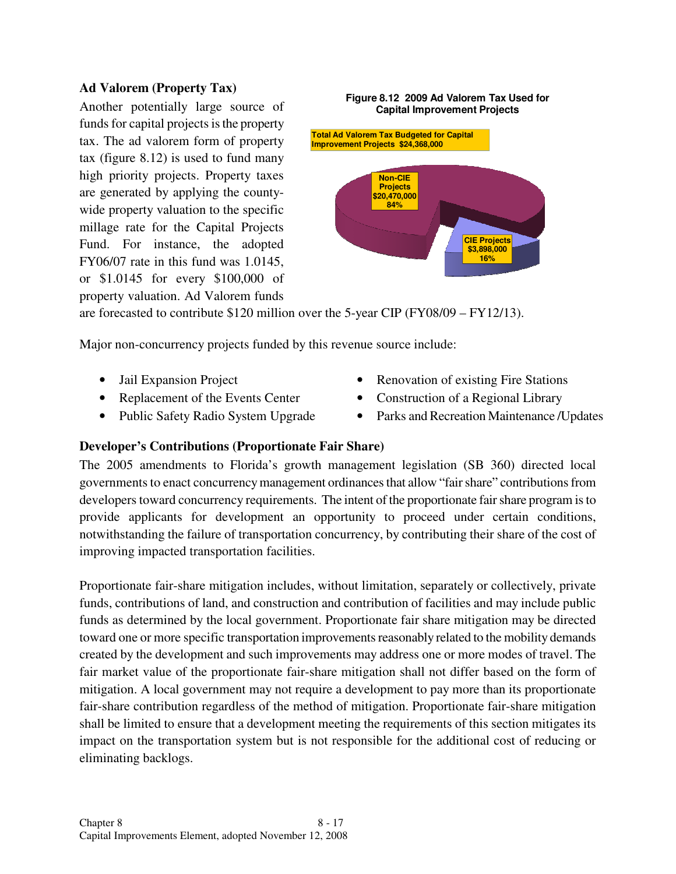#### **Ad Valorem (Property Tax)**

Another potentially large source of funds for capital projects is the property tax. The ad valorem form of property tax (figure 8.12) is used to fund many high priority projects. Property taxes are generated by applying the countywide property valuation to the specific millage rate for the Capital Projects Fund. For instance, the adopted FY06/07 rate in this fund was 1.0145, or \$1.0145 for every \$100,000 of property valuation. Ad Valorem funds



**Figure 8.12 2009 Ad Valorem Tax Used for** 

are forecasted to contribute \$120 million over the 5-year CIP (FY08/09 – FY12/13).

Major non-concurrency projects funded by this revenue source include:

- 
- Replacement of the Events Center
- Public Safety Radio System Upgrade
- Jail Expansion Project Renovation of existing Fire Stations
	- Construction of a Regional Library
	- Parks and Recreation Maintenance /Updates

#### **Developer's Contributions (Proportionate Fair Share)**

The 2005 amendments to Florida's growth management legislation (SB 360) directed local governments to enact concurrency management ordinances that allow "fair share" contributions from developers toward concurrency requirements. The intent of the proportionate fair share program is to provide applicants for development an opportunity to proceed under certain conditions, notwithstanding the failure of transportation concurrency, by contributing their share of the cost of improving impacted transportation facilities.

Proportionate fair-share mitigation includes, without limitation, separately or collectively, private funds, contributions of land, and construction and contribution of facilities and may include public funds as determined by the local government. Proportionate fair share mitigation may be directed toward one or more specific transportation improvements reasonably related to the mobility demands created by the development and such improvements may address one or more modes of travel. The fair market value of the proportionate fair-share mitigation shall not differ based on the form of mitigation. A local government may not require a development to pay more than its proportionate fair-share contribution regardless of the method of mitigation. Proportionate fair-share mitigation shall be limited to ensure that a development meeting the requirements of this section mitigates its impact on the transportation system but is not responsible for the additional cost of reducing or eliminating backlogs.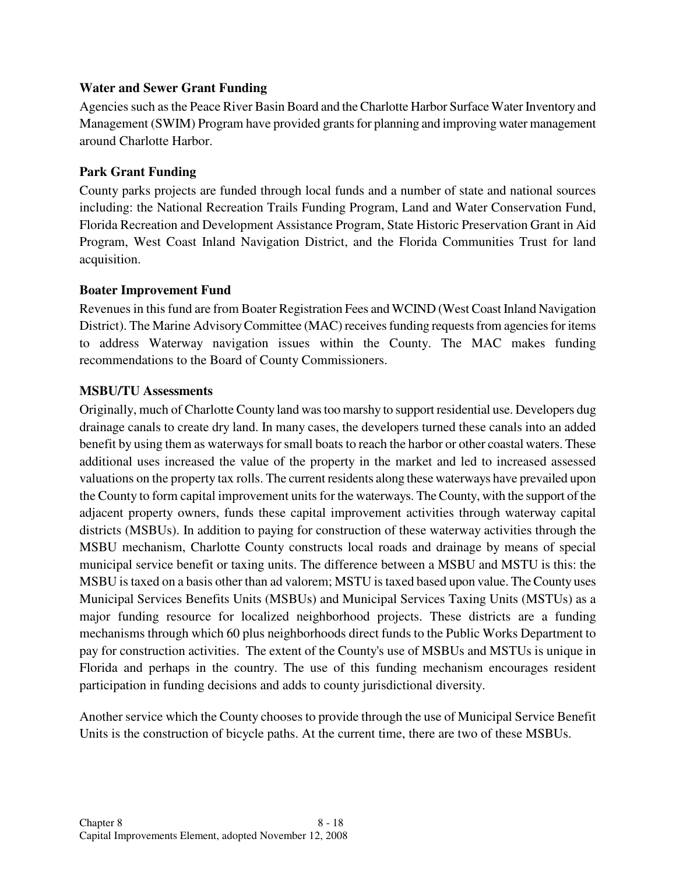#### **Water and Sewer Grant Funding**

Agencies such as the Peace River Basin Board and the Charlotte Harbor Surface Water Inventory and Management (SWIM) Program have provided grants for planning and improving water management around Charlotte Harbor.

#### **Park Grant Funding**

County parks projects are funded through local funds and a number of state and national sources including: the National Recreation Trails Funding Program, Land and Water Conservation Fund, Florida Recreation and Development Assistance Program, State Historic Preservation Grant in Aid Program, West Coast Inland Navigation District, and the Florida Communities Trust for land acquisition.

#### **Boater Improvement Fund**

Revenues in this fund are from Boater Registration Fees and WCIND (West Coast Inland Navigation District). The Marine Advisory Committee (MAC) receives funding requests from agencies for items to address Waterway navigation issues within the County. The MAC makes funding recommendations to the Board of County Commissioners.

#### **MSBU/TU Assessments**

Originally, much of Charlotte County land was too marshy to support residential use. Developers dug drainage canals to create dry land. In many cases, the developers turned these canals into an added benefit by using them as waterways for small boats to reach the harbor or other coastal waters. These additional uses increased the value of the property in the market and led to increased assessed valuations on the property tax rolls. The current residents along these waterways have prevailed upon the County to form capital improvement units for the waterways. The County, with the support of the adjacent property owners, funds these capital improvement activities through waterway capital districts (MSBUs). In addition to paying for construction of these waterway activities through the MSBU mechanism, Charlotte County constructs local roads and drainage by means of special municipal service benefit or taxing units. The difference between a MSBU and MSTU is this: the MSBU is taxed on a basis other than ad valorem; MSTU is taxed based upon value. The County uses Municipal Services Benefits Units (MSBUs) and Municipal Services Taxing Units (MSTUs) as a major funding resource for localized neighborhood projects. These districts are a funding mechanisms through which 60 plus neighborhoods direct funds to the Public Works Department to pay for construction activities. The extent of the County's use of MSBUs and MSTUs is unique in Florida and perhaps in the country. The use of this funding mechanism encourages resident participation in funding decisions and adds to county jurisdictional diversity.

Another service which the County chooses to provide through the use of Municipal Service Benefit Units is the construction of bicycle paths. At the current time, there are two of these MSBUs.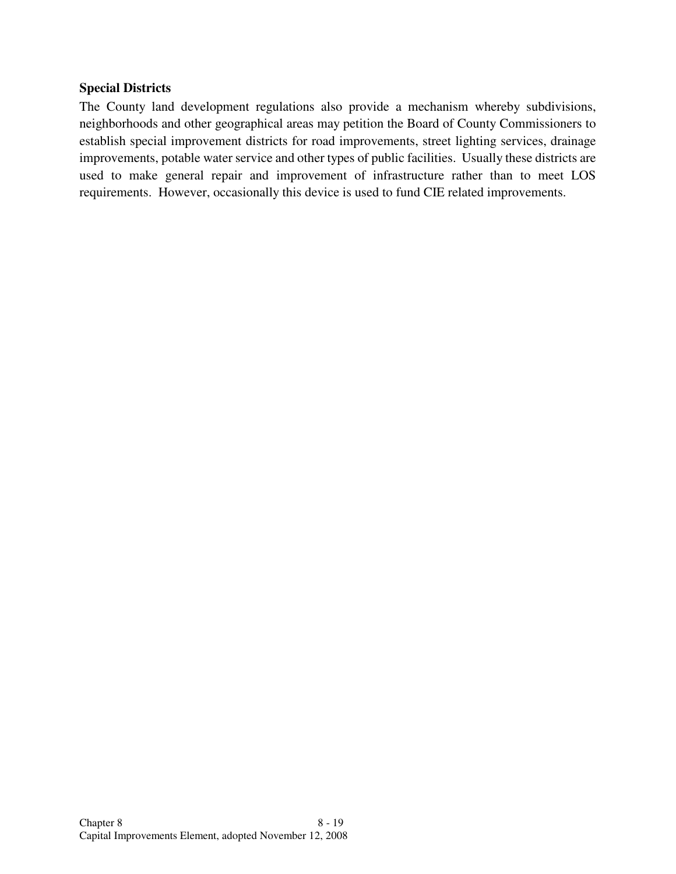#### **Special Districts**

The County land development regulations also provide a mechanism whereby subdivisions, neighborhoods and other geographical areas may petition the Board of County Commissioners to establish special improvement districts for road improvements, street lighting services, drainage improvements, potable water service and other types of public facilities. Usually these districts are used to make general repair and improvement of infrastructure rather than to meet LOS requirements. However, occasionally this device is used to fund CIE related improvements.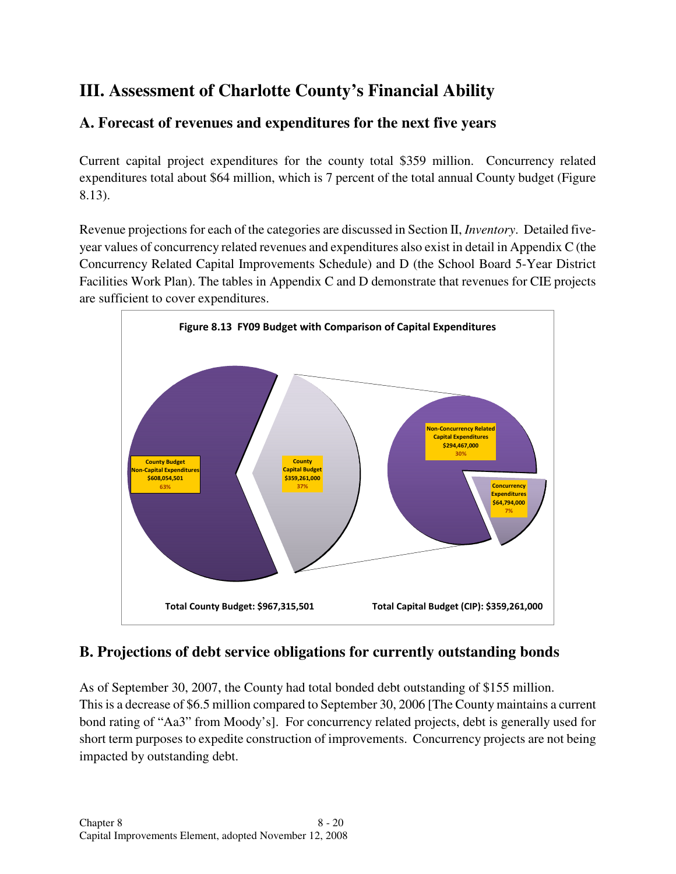## **III. Assessment of Charlotte County's Financial Ability**

## **A. Forecast of revenues and expenditures for the next five years**

Current capital project expenditures for the county total \$359 million. Concurrency related expenditures total about \$64 million, which is 7 percent of the total annual County budget (Figure 8.13).

Revenue projections for each of the categories are discussed in Section II, *Inventory*. Detailed fiveyear values of concurrency related revenues and expenditures also exist in detail in Appendix C (the Concurrency Related Capital Improvements Schedule) and D (the School Board 5-Year District Facilities Work Plan). The tables in Appendix C and D demonstrate that revenues for CIE projects are sufficient to cover expenditures.



## **B. Projections of debt service obligations for currently outstanding bonds**

As of September 30, 2007, the County had total bonded debt outstanding of \$155 million. This is a decrease of \$6.5 million compared to September 30, 2006 [The County maintains a current bond rating of "Aa3" from Moody's]. For concurrency related projects, debt is generally used for short term purposes to expedite construction of improvements. Concurrency projects are not being impacted by outstanding debt.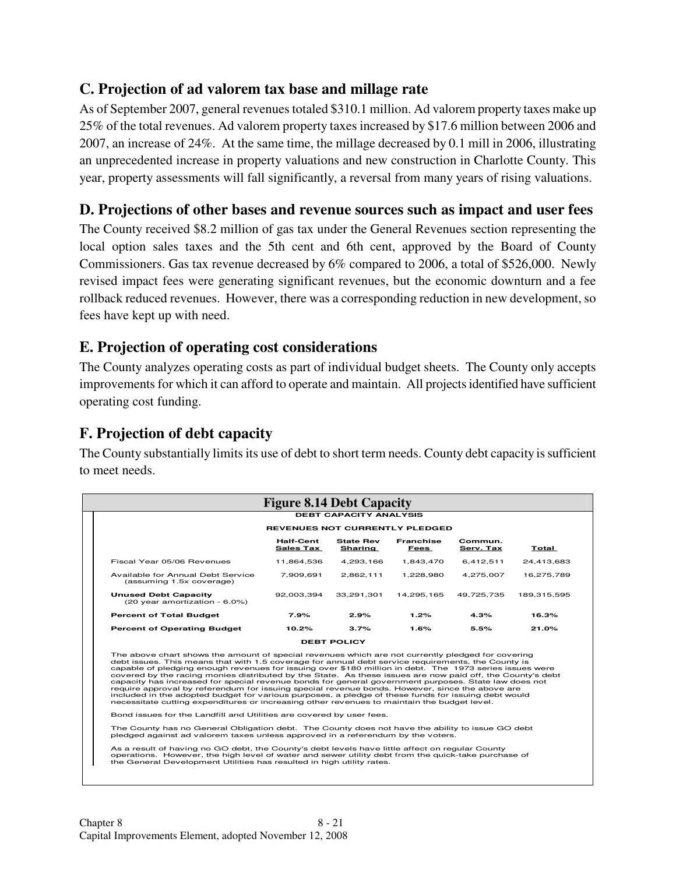## **C. Projection of ad valorem tax base and millage rate**

As of September 2007, general revenues totaled \$310.1 million. Ad valorem property taxes make up 25% of the total revenues. Ad valorem property taxes increased by \$17.6 million between 2006 and 2007, an increase of 24%. At the same time, the millage decreased by 0.1 mill in 2006, illustrating an unprecedented increase in property valuations and new construction in Charlotte County. This year, property assessments will fall significantly, a reversal from many years of rising valuations.

## **D. Projections of other bases and revenue sources such as impact and user fees**

The County received \$8.2 million of gas tax under the General Revenues section representing the local option sales taxes and the 5th cent and 6th cent, approved by the Board of County Commissioners. Gas tax revenue decreased by 6% compared to 2006, a total of \$526,000. Newly revised impact fees were generating significant revenues, but the economic downturn and a fee rollback reduced revenues. However, there was a corresponding reduction in new development, so fees have kept up with need.

## **E. Projection of operating cost considerations**

The County analyzes operating costs as part of individual budget sheets. The County only accepts improvements for which it can afford to operate and maintain. All projects identified have sufficient operating cost funding.

## **F. Projection of debt capacity**

The County substantially limits its use of debt to short term needs. County debt capacity is sufficient to meet needs.

|                                                                                                                                                                                                                                                                                                                                                                                                                                                                                                                                          |                                      | <b>DEBT CAPACITY ANALYSIS</b> |                                 |                      |              |  |
|------------------------------------------------------------------------------------------------------------------------------------------------------------------------------------------------------------------------------------------------------------------------------------------------------------------------------------------------------------------------------------------------------------------------------------------------------------------------------------------------------------------------------------------|--------------------------------------|-------------------------------|---------------------------------|----------------------|--------------|--|
| <b>REVENUES NOT CURRENTLY PLEDGED</b>                                                                                                                                                                                                                                                                                                                                                                                                                                                                                                    |                                      |                               |                                 |                      |              |  |
|                                                                                                                                                                                                                                                                                                                                                                                                                                                                                                                                          | <b>Half-Cent</b><br><b>Sales Tax</b> | <b>State Rev</b><br>Sharing   | <b>Franchise</b><br><u>Fees</u> | Commun.<br>Serv. Tax | <b>Total</b> |  |
| Fiscal Year 05/06 Revenues                                                                                                                                                                                                                                                                                                                                                                                                                                                                                                               | 11.864.536                           | 4.293.166                     | 1,843,470                       | 6,412,511            | 24,413,683   |  |
| Available for Annual Debt Service<br>(assuming 1.5x coverage)                                                                                                                                                                                                                                                                                                                                                                                                                                                                            | 7.909.691                            | 2.862.111                     | 1.228.980                       | 4.275.007            | 16.275.789   |  |
| <b>Unused Debt Capacity</b><br>(20 year amortization - 6.0%)                                                                                                                                                                                                                                                                                                                                                                                                                                                                             | 92,003,394                           | 33.291.301                    | 14.295.165                      | 49,725,735           | 189,315,595  |  |
| <b>Percent of Total Budget</b>                                                                                                                                                                                                                                                                                                                                                                                                                                                                                                           | 7.9%                                 | 2.9%                          | 1.2%                            | 4.3%                 | 16.3%        |  |
| <b>Percent of Operating Budget</b>                                                                                                                                                                                                                                                                                                                                                                                                                                                                                                       | 10.2%                                | 3.7%                          | 1.6%                            | 5.5%                 | 21.0%        |  |
|                                                                                                                                                                                                                                                                                                                                                                                                                                                                                                                                          |                                      | <b>DEBT POLICY</b>            |                                 |                      |              |  |
| The above chart shows the amount of special revenues which are not currently pledged for covering<br>debt issues. This means that with 1.5 coverage for annual debt service requirements, the County is<br>capable of pledging enough revenues for issuing over \$180 million in debt. The 1973 series issues were<br>covered by the racing monies distributed by the State. As these issues are now paid off, the County's debt<br>capacity has increased for special revenue bonds for general government purposes. State law does not |                                      |                               |                                 |                      |              |  |

capacity has increased for special revenue bonds for general government purposes. State law does not require approval by referendum for issuing special revenue bonds. However, since the above are included in the adopted budget for various purposes, a pledge of these funds for issuing debt would necessitate cutting expenditures or increasing other revenues to maintain the budget level.

Bond issues for the Landfill and Utilities are covered by user fees.

The County has no General Obligation debt. The County does not have the ability to issue GO debt pledged against ad valorem taxes unless approved in a referendum by the voters

As a result of having no GO debt, the County's debt levels have little affect on regular County<br>operations. However, the high level of water and sewer utility debt from the quick-take purchase of<br>the General Development U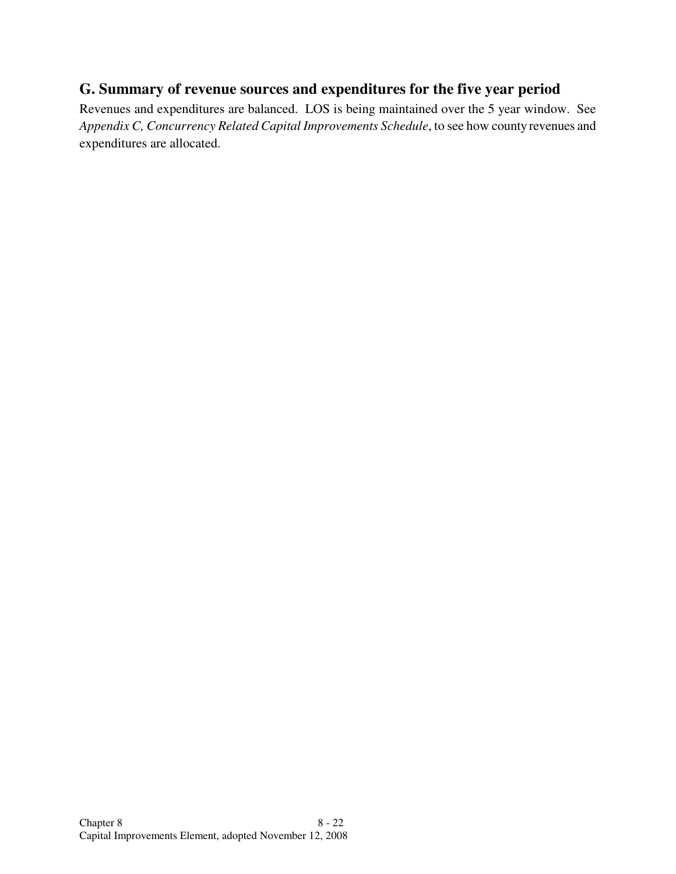## **G. Summary of revenue sources and expenditures for the five year period**

Revenues and expenditures are balanced. LOS is being maintained over the 5 year window. See *Appendix C, Concurrency Related Capital Improvements Schedule*, to see how county revenues and expenditures are allocated.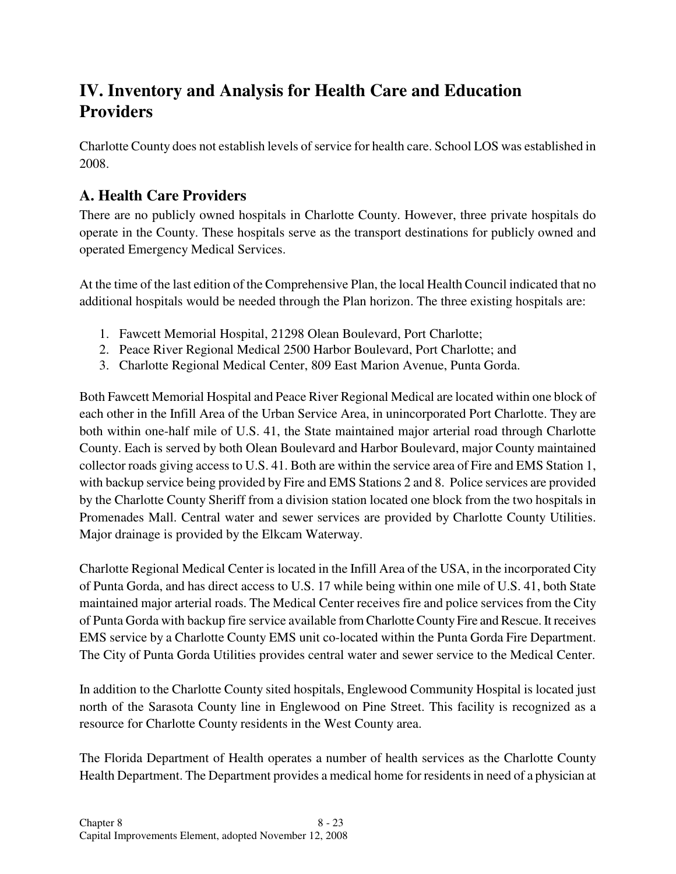## **IV. Inventory and Analysis for Health Care and Education Providers**

Charlotte County does not establish levels of service for health care. School LOS was established in 2008.

## **A. Health Care Providers**

There are no publicly owned hospitals in Charlotte County. However, three private hospitals do operate in the County. These hospitals serve as the transport destinations for publicly owned and operated Emergency Medical Services.

At the time of the last edition of the Comprehensive Plan, the local Health Council indicated that no additional hospitals would be needed through the Plan horizon. The three existing hospitals are:

- 1. Fawcett Memorial Hospital, 21298 Olean Boulevard, Port Charlotte;
- 2. Peace River Regional Medical 2500 Harbor Boulevard, Port Charlotte; and
- 3. Charlotte Regional Medical Center, 809 East Marion Avenue, Punta Gorda.

Both Fawcett Memorial Hospital and Peace River Regional Medical are located within one block of each other in the Infill Area of the Urban Service Area, in unincorporated Port Charlotte. They are both within one-half mile of U.S. 41, the State maintained major arterial road through Charlotte County. Each is served by both Olean Boulevard and Harbor Boulevard, major County maintained collector roads giving access to U.S. 41. Both are within the service area of Fire and EMS Station 1, with backup service being provided by Fire and EMS Stations 2 and 8. Police services are provided by the Charlotte County Sheriff from a division station located one block from the two hospitals in Promenades Mall. Central water and sewer services are provided by Charlotte County Utilities. Major drainage is provided by the Elkcam Waterway.

Charlotte Regional Medical Center is located in the Infill Area of the USA, in the incorporated City of Punta Gorda, and has direct access to U.S. 17 while being within one mile of U.S. 41, both State maintained major arterial roads. The Medical Center receives fire and police services from the City of Punta Gorda with backup fire service available from Charlotte County Fire and Rescue. It receives EMS service by a Charlotte County EMS unit co-located within the Punta Gorda Fire Department. The City of Punta Gorda Utilities provides central water and sewer service to the Medical Center.

In addition to the Charlotte County sited hospitals, Englewood Community Hospital is located just north of the Sarasota County line in Englewood on Pine Street. This facility is recognized as a resource for Charlotte County residents in the West County area.

The Florida Department of Health operates a number of health services as the Charlotte County Health Department. The Department provides a medical home for residents in need of a physician at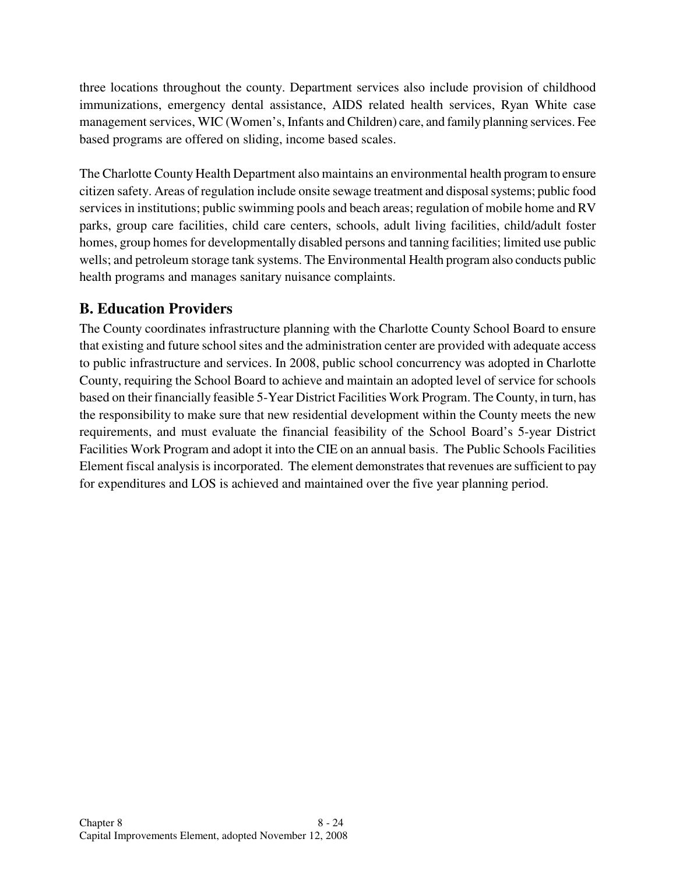three locations throughout the county. Department services also include provision of childhood immunizations, emergency dental assistance, AIDS related health services, Ryan White case management services, WIC (Women's, Infants and Children) care, and family planning services. Fee based programs are offered on sliding, income based scales.

The Charlotte County Health Department also maintains an environmental health program to ensure citizen safety. Areas of regulation include onsite sewage treatment and disposal systems; public food services in institutions; public swimming pools and beach areas; regulation of mobile home and RV parks, group care facilities, child care centers, schools, adult living facilities, child/adult foster homes, group homes for developmentally disabled persons and tanning facilities; limited use public wells; and petroleum storage tank systems. The Environmental Health program also conducts public health programs and manages sanitary nuisance complaints.

## **B. Education Providers**

The County coordinates infrastructure planning with the Charlotte County School Board to ensure that existing and future school sites and the administration center are provided with adequate access to public infrastructure and services. In 2008, public school concurrency was adopted in Charlotte County, requiring the School Board to achieve and maintain an adopted level of service for schools based on their financially feasible 5-Year District Facilities Work Program. The County, in turn, has the responsibility to make sure that new residential development within the County meets the new requirements, and must evaluate the financial feasibility of the School Board's 5-year District Facilities Work Program and adopt it into the CIE on an annual basis. The Public Schools Facilities Element fiscal analysis is incorporated. The element demonstrates that revenues are sufficient to pay for expenditures and LOS is achieved and maintained over the five year planning period.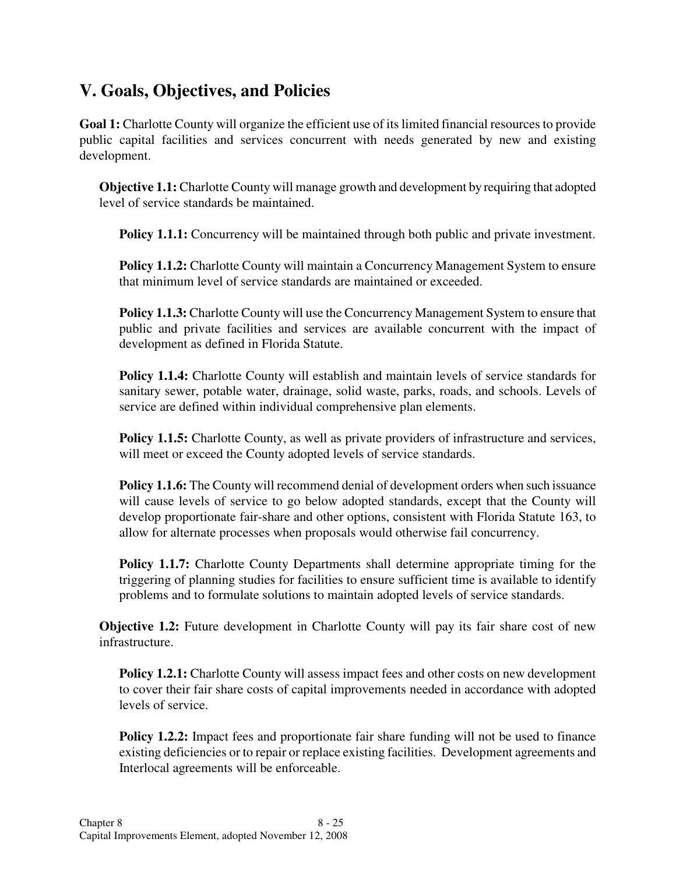## **V. Goals, Objectives, and Policies**

**Goal 1:** Charlotte County will organize the efficient use of its limited financial resources to provide public capital facilities and services concurrent with needs generated by new and existing development.

**Objective 1.1:** Charlotte County will manage growth and development by requiring that adopted level of service standards be maintained.

**Policy 1.1.1:** Concurrency will be maintained through both public and private investment.

**Policy 1.1.2:** Charlotte County will maintain a Concurrency Management System to ensure that minimum level of service standards are maintained or exceeded.

**Policy 1.1.3:** Charlotte County will use the Concurrency Management System to ensure that public and private facilities and services are available concurrent with the impact of development as defined in Florida Statute.

**Policy 1.1.4:** Charlotte County will establish and maintain levels of service standards for sanitary sewer, potable water, drainage, solid waste, parks, roads, and schools. Levels of service are defined within individual comprehensive plan elements.

**Policy 1.1.5:** Charlotte County, as well as private providers of infrastructure and services, will meet or exceed the County adopted levels of service standards.

**Policy 1.1.6:** The County will recommend denial of development orders when such issuance will cause levels of service to go below adopted standards, except that the County will develop proportionate fair-share and other options, consistent with Florida Statute 163, to allow for alternate processes when proposals would otherwise fail concurrency.

**Policy 1.1.7:** Charlotte County Departments shall determine appropriate timing for the triggering of planning studies for facilities to ensure sufficient time is available to identify problems and to formulate solutions to maintain adopted levels of service standards.

**Objective 1.2:** Future development in Charlotte County will pay its fair share cost of new infrastructure.

**Policy 1.2.1:** Charlotte County will assess impact fees and other costs on new development to cover their fair share costs of capital improvements needed in accordance with adopted levels of service.

**Policy 1.2.2:** Impact fees and proportionate fair share funding will not be used to finance existing deficiencies or to repair or replace existing facilities. Development agreements and Interlocal agreements will be enforceable.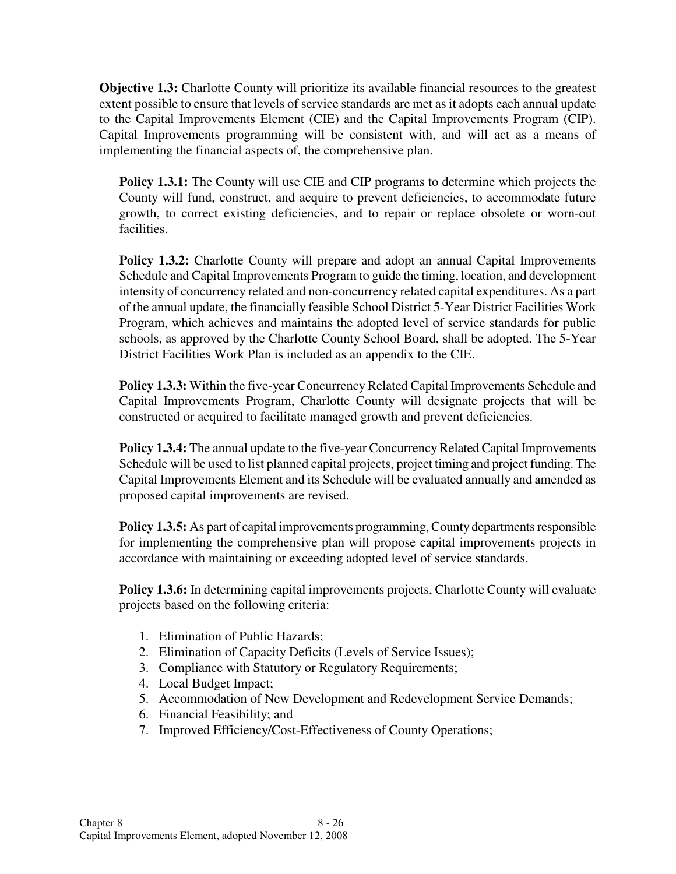**Objective 1.3:** Charlotte County will prioritize its available financial resources to the greatest extent possible to ensure that levels of service standards are met as it adopts each annual update to the Capital Improvements Element (CIE) and the Capital Improvements Program (CIP). Capital Improvements programming will be consistent with, and will act as a means of implementing the financial aspects of, the comprehensive plan.

**Policy 1.3.1:** The County will use CIE and CIP programs to determine which projects the County will fund, construct, and acquire to prevent deficiencies, to accommodate future growth, to correct existing deficiencies, and to repair or replace obsolete or worn-out facilities.

**Policy 1.3.2:** Charlotte County will prepare and adopt an annual Capital Improvements Schedule and Capital Improvements Program to guide the timing, location, and development intensity of concurrency related and non-concurrency related capital expenditures. As a part of the annual update, the financially feasible School District 5-Year District Facilities Work Program, which achieves and maintains the adopted level of service standards for public schools, as approved by the Charlotte County School Board, shall be adopted. The 5-Year District Facilities Work Plan is included as an appendix to the CIE.

**Policy 1.3.3:** Within the five-year Concurrency Related Capital Improvements Schedule and Capital Improvements Program, Charlotte County will designate projects that will be constructed or acquired to facilitate managed growth and prevent deficiencies.

**Policy 1.3.4:** The annual update to the five-year Concurrency Related Capital Improvements Schedule will be used to list planned capital projects, project timing and project funding. The Capital Improvements Element and its Schedule will be evaluated annually and amended as proposed capital improvements are revised.

**Policy 1.3.5:** As part of capital improvements programming, County departments responsible for implementing the comprehensive plan will propose capital improvements projects in accordance with maintaining or exceeding adopted level of service standards.

**Policy 1.3.6:** In determining capital improvements projects, Charlotte County will evaluate projects based on the following criteria:

- 1. Elimination of Public Hazards;
- 2. Elimination of Capacity Deficits (Levels of Service Issues);
- 3. Compliance with Statutory or Regulatory Requirements;
- 4. Local Budget Impact;
- 5. Accommodation of New Development and Redevelopment Service Demands;
- 6. Financial Feasibility; and
- 7. Improved Efficiency/Cost-Effectiveness of County Operations;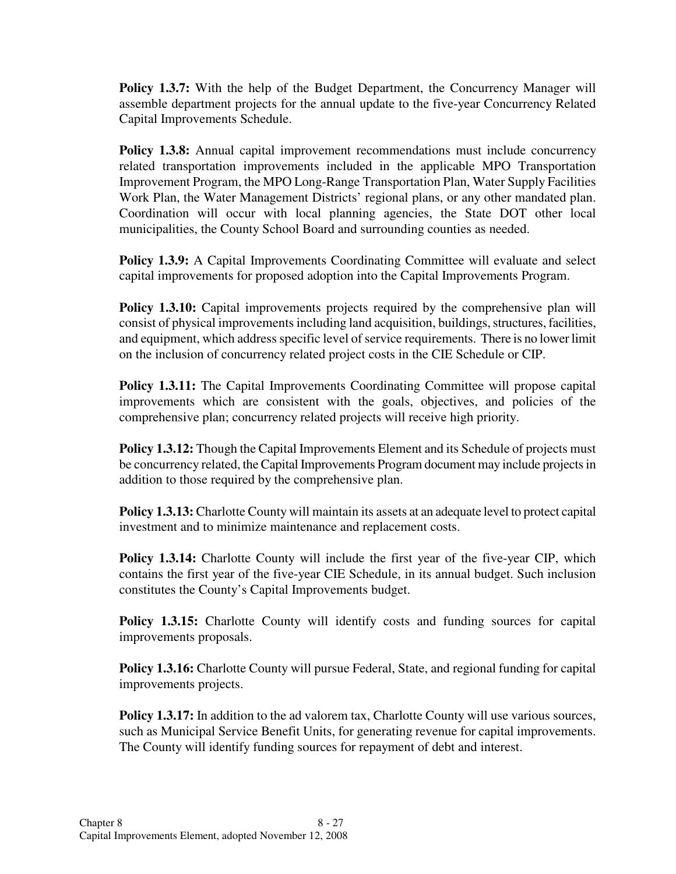**Policy 1.3.7:** With the help of the Budget Department, the Concurrency Manager will assemble department projects for the annual update to the five-year Concurrency Related Capital Improvements Schedule.

**Policy 1.3.8:** Annual capital improvement recommendations must include concurrency related transportation improvements included in the applicable MPO Transportation Improvement Program, the MPO Long-Range Transportation Plan, Water Supply Facilities Work Plan, the Water Management Districts' regional plans, or any other mandated plan. Coordination will occur with local planning agencies, the State DOT other local municipalities, the County School Board and surrounding counties as needed.

**Policy 1.3.9:** A Capital Improvements Coordinating Committee will evaluate and select capital improvements for proposed adoption into the Capital Improvements Program.

**Policy 1.3.10:** Capital improvements projects required by the comprehensive plan will consist of physical improvements including land acquisition, buildings, structures, facilities, and equipment, which address specific level of service requirements. There is no lower limit on the inclusion of concurrency related project costs in the CIE Schedule or CIP.

**Policy 1.3.11:** The Capital Improvements Coordinating Committee will propose capital improvements which are consistent with the goals, objectives, and policies of the comprehensive plan; concurrency related projects will receive high priority.

**Policy 1.3.12:** Though the Capital Improvements Element and its Schedule of projects must be concurrency related, the Capital Improvements Program document may include projects in addition to those required by the comprehensive plan.

**Policy 1.3.13:** Charlotte County will maintain its assets at an adequate level to protect capital investment and to minimize maintenance and replacement costs.

**Policy 1.3.14:** Charlotte County will include the first year of the five-year CIP, which contains the first year of the five-year CIE Schedule, in its annual budget. Such inclusion constitutes the County's Capital Improvements budget.

**Policy 1.3.15:** Charlotte County will identify costs and funding sources for capital improvements proposals.

**Policy 1.3.16:** Charlotte County will pursue Federal, State, and regional funding for capital improvements projects.

**Policy 1.3.17:** In addition to the ad valorem tax, Charlotte County will use various sources, such as Municipal Service Benefit Units, for generating revenue for capital improvements. The County will identify funding sources for repayment of debt and interest.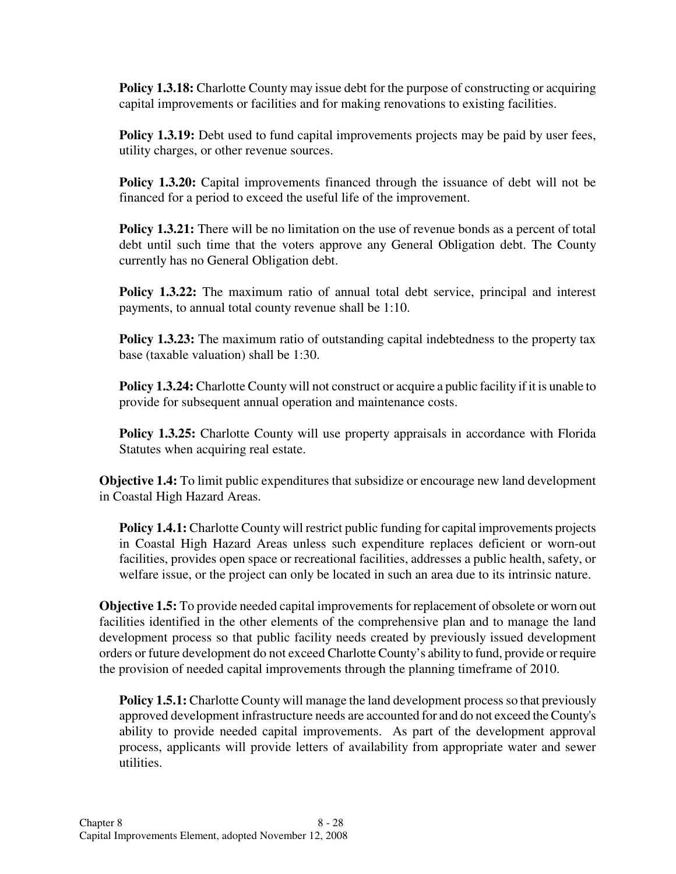**Policy 1.3.18:** Charlotte County may issue debt for the purpose of constructing or acquiring capital improvements or facilities and for making renovations to existing facilities.

**Policy 1.3.19:** Debt used to fund capital improvements projects may be paid by user fees, utility charges, or other revenue sources.

**Policy 1.3.20:** Capital improvements financed through the issuance of debt will not be financed for a period to exceed the useful life of the improvement.

**Policy 1.3.21:** There will be no limitation on the use of revenue bonds as a percent of total debt until such time that the voters approve any General Obligation debt. The County currently has no General Obligation debt.

**Policy 1.3.22:** The maximum ratio of annual total debt service, principal and interest payments, to annual total county revenue shall be 1:10.

**Policy 1.3.23:** The maximum ratio of outstanding capital indebtedness to the property tax base (taxable valuation) shall be 1:30.

**Policy 1.3.24:** Charlotte County will not construct or acquire a public facility if it is unable to provide for subsequent annual operation and maintenance costs.

**Policy 1.3.25:** Charlotte County will use property appraisals in accordance with Florida Statutes when acquiring real estate.

**Objective 1.4:** To limit public expenditures that subsidize or encourage new land development in Coastal High Hazard Areas.

**Policy 1.4.1:** Charlotte County will restrict public funding for capital improvements projects in Coastal High Hazard Areas unless such expenditure replaces deficient or worn-out facilities, provides open space or recreational facilities, addresses a public health, safety, or welfare issue, or the project can only be located in such an area due to its intrinsic nature.

**Objective 1.5:** To provide needed capital improvements for replacement of obsolete or worn out facilities identified in the other elements of the comprehensive plan and to manage the land development process so that public facility needs created by previously issued development orders or future development do not exceed Charlotte County's ability to fund, provide or require the provision of needed capital improvements through the planning timeframe of 2010.

**Policy 1.5.1:** Charlotte County will manage the land development process so that previously approved development infrastructure needs are accounted for and do not exceed the County's ability to provide needed capital improvements. As part of the development approval process, applicants will provide letters of availability from appropriate water and sewer utilities.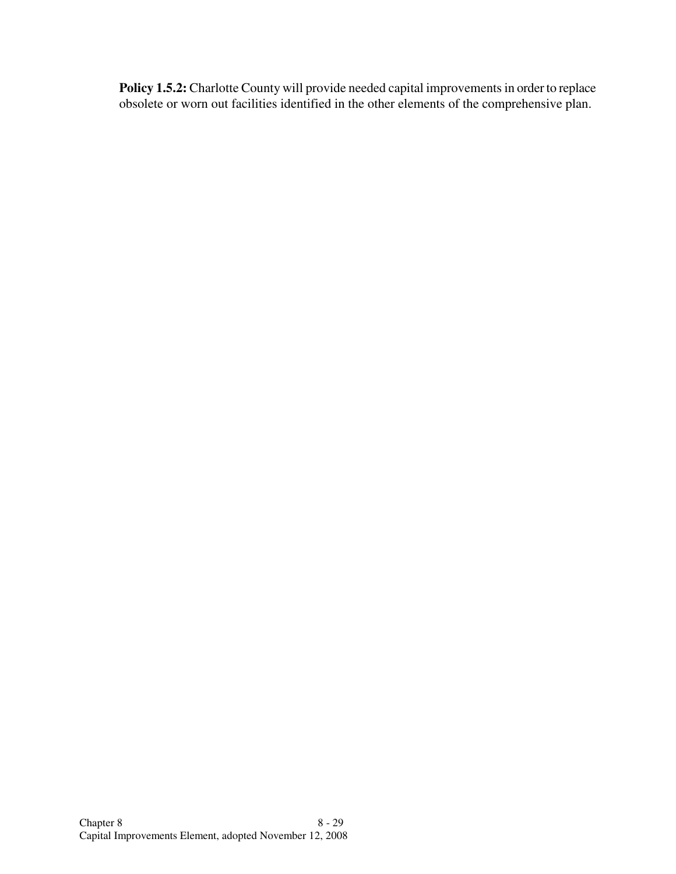Policy 1.5.2: Charlotte County will provide needed capital improvements in order to replace obsolete or worn out facilities identified in the other elements of the comprehensive plan.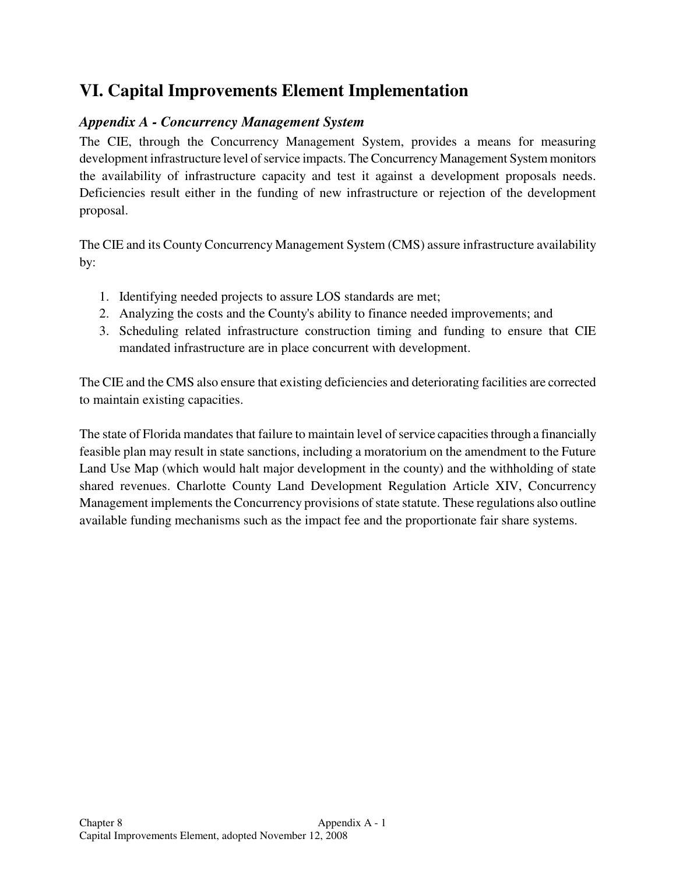## **VI. Capital Improvements Element Implementation**

## *Appendix A - Concurrency Management System*

The CIE, through the Concurrency Management System, provides a means for measuring development infrastructure level of service impacts. The Concurrency Management System monitors the availability of infrastructure capacity and test it against a development proposals needs. Deficiencies result either in the funding of new infrastructure or rejection of the development proposal.

The CIE and its County Concurrency Management System (CMS) assure infrastructure availability by:

- 1. Identifying needed projects to assure LOS standards are met;
- 2. Analyzing the costs and the County's ability to finance needed improvements; and
- 3. Scheduling related infrastructure construction timing and funding to ensure that CIE mandated infrastructure are in place concurrent with development.

The CIE and the CMS also ensure that existing deficiencies and deteriorating facilities are corrected to maintain existing capacities.

The state of Florida mandates that failure to maintain level of service capacities through a financially feasible plan may result in state sanctions, including a moratorium on the amendment to the Future Land Use Map (which would halt major development in the county) and the withholding of state shared revenues. Charlotte County Land Development Regulation Article XIV, Concurrency Management implements the Concurrency provisions of state statute. These regulations also outline available funding mechanisms such as the impact fee and the proportionate fair share systems.